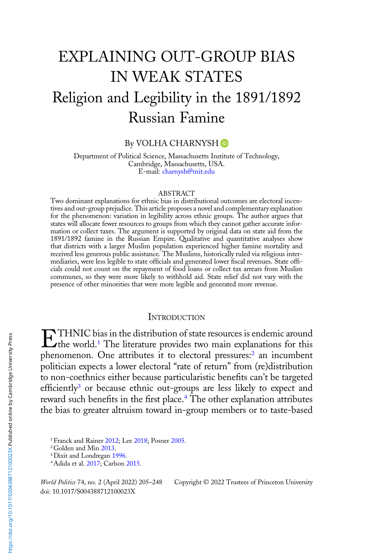# EXPLAINING OUT-GROUP BIAS IN WEAK STATES Religion and Legibility in the 1891/1892 Russian Famine

By VOLHA CHARNYSH **O** 

Department of Political Science, Massachusetts Institute of Technology, Cambridge, Massachusetts, USA. E-mail: [charnysh@mit.edu](mailto:charnysh@mit.edu)

#### ABSTRACT

Two dominant explanations for ethnic bias in distributional outcomes are electoral incentives and out-group prejudice. This article proposes a novel and complementary explanation for the phenomenon: variation in legibility across ethnic groups. The author argues that states will allocate fewer resources to groups from which they cannot gather accurate information or collect taxes. The argument is supported by original data on state aid from the 1891/1892 famine in the Russian Empire. Qualitative and quantitative analyses show that districts with a larger Muslim population experienced higher famine mortality and received less generous public assistance. The Muslims, historically ruled via religious intermediaries, were less legible to state officials and generated lower fiscal revenues. State officials could not count on the repayment of food loans or collect tax arrears from Muslim communes, so they were more likely to withhold aid. State relief did not vary with the presence of other minorities that were more legible and generated more revenue.

#### **INTRODUCTION**

**ETHNIC** bias in the distribution of state resources is endemic around the world.<sup>1</sup> The literature provides two main explanations for this phenomenon. One attributes it to electoral pressures:<sup>2</sup> an incumbent politician expects a lower electoral "rate of return" from (re)distribution to non-coethnics either because particularistic benefits can't be targeted efficiently<sup>3</sup> or because ethnic out-groups are less likely to expect and reward such benefits in the first place.<sup>4</sup> The other explanation attributes the bias to greater altruism toward in-group members or to taste-based

1Franck and Rainer [2012](#page-39-0); Lee [2018](#page-40-0); Posner [2005](#page-41-0).

2Golden and Min [2013](#page-39-0).

doi: 10.1017/S004388712100023X

World Politics 74, no. 2 (April 2022) 205-248 Copyright © 2022 Trustees of Princeton University

<sup>3</sup>Dixit and Londregan [1996](#page-38-0).

<sup>4</sup>Adida et al. [2017;](#page-37-0) Carlson [2015](#page-38-0).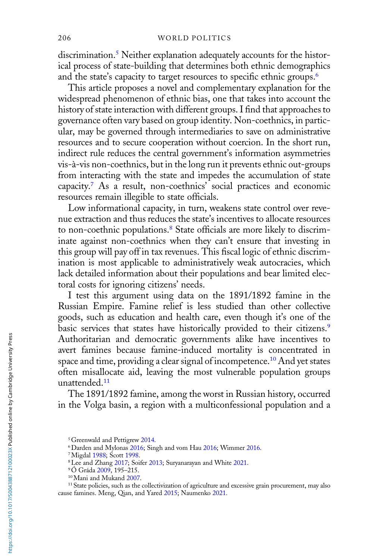discrimination.<sup>5</sup> Neither explanation adequately accounts for the historical process of state-building that determines both ethnic demographics and the state's capacity to target resources to specific ethnic groups.<sup>6</sup>

This article proposes a novel and complementary explanation for the widespread phenomenon of ethnic bias, one that takes into account the history of state interaction with different groups. I find that approaches to governance often vary based on group identity. Non-coethnics, in particular, may be governed through intermediaries to save on administrative resources and to secure cooperation without coercion. In the short run, indirect rule reduces the central government's information asymmetries vis-à-vis non-coethnics, but in the long run it prevents ethnic out-groups from interacting with the state and impedes the accumulation of state capacity.7 As a result, non-coethnics' social practices and economic resources remain illegible to state officials.

Low informational capacity, in turn, weakens state control over revenue extraction and thus reduces the state's incentives to allocate resources to non-coethnic populations.<sup>8</sup> State officials are more likely to discriminate against non-coethnics when they can't ensure that investing in this group will pay off in tax revenues. This fiscal logic of ethnic discrimination is most applicable to administratively weak autocracies, which lack detailed information about their populations and bear limited electoral costs for ignoring citizens' needs.

I test this argument using data on the 1891/1892 famine in the Russian Empire. Famine relief is less studied than other collective goods, such as education and health care, even though it's one of the basic services that states have historically provided to their citizens.<sup>9</sup> Authoritarian and democratic governments alike have incentives to avert famines because famine-induced mortality is concentrated in space and time, providing a clear signal of incompetence.<sup>10</sup> And yet states often misallocate aid, leaving the most vulnerable population groups unattended.<sup>11</sup>

The 1891/1892 famine, among the worst in Russian history, occurred in the Volga basin, a region with a multiconfessional population and a

<sup>&</sup>lt;sup>5</sup> Greenwald and Pettigrew [2014](#page-39-0).

<sup>6</sup>Darden and Mylonas [2016;](#page-38-0) Singh and vom Hau [2016;](#page-41-0) Wimmer [2016](#page-42-0).

<sup>&</sup>lt;sup>7</sup>Migdal [1988;](#page-40-0) Scott [1998.](#page-41-0)

<sup>8</sup>Lee and Zhang [2017](#page-40-0); Soifer [2013](#page-42-0); Suryanarayan and White [2021.](#page-42-0)

<sup>&</sup>lt;sup>9</sup>Ó Gráda [2009](#page-41-0), 195-215.

<sup>10</sup>Mani and Mukand [2007](#page-40-0).

<sup>&</sup>lt;sup>11</sup> State policies, such as the collectivization of agriculture and excessive grain procurement, may also cause famines. Meng, Qian, and Yared [2015](#page-40-0); Naumenko [2021.](#page-41-0)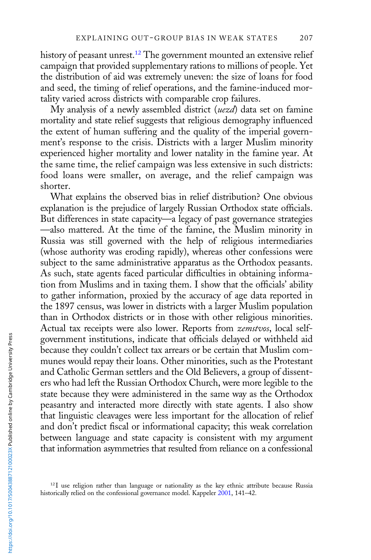history of peasant unrest.<sup>12</sup> The government mounted an extensive relief campaign that provided supplementary rations to millions of people. Yet the distribution of aid was extremely uneven: the size of loans for food and seed, the timing of relief operations, and the famine-induced mortality varied across districts with comparable crop failures.

My analysis of a newly assembled district (uezd) data set on famine mortality and state relief suggests that religious demography influenced the extent of human suffering and the quality of the imperial government's response to the crisis. Districts with a larger Muslim minority experienced higher mortality and lower natality in the famine year. At the same time, the relief campaign was less extensive in such districts: food loans were smaller, on average, and the relief campaign was shorter.

What explains the observed bias in relief distribution? One obvious explanation is the prejudice of largely Russian Orthodox state officials. But differences in state capacity—a legacy of past governance strategies —also mattered. At the time of the famine, the Muslim minority in Russia was still governed with the help of religious intermediaries (whose authority was eroding rapidly), whereas other confessions were subject to the same administrative apparatus as the Orthodox peasants. As such, state agents faced particular difficulties in obtaining information from Muslims and in taxing them. I show that the officials' ability to gather information, proxied by the accuracy of age data reported in the 1897 census, was lower in districts with a larger Muslim population than in Orthodox districts or in those with other religious minorities. Actual tax receipts were also lower. Reports from zemstvos, local selfgovernment institutions, indicate that officials delayed or withheld aid because they couldn't collect tax arrears or be certain that Muslim communes would repay their loans. Other minorities, such as the Protestant and Catholic German settlers and the Old Believers, a group of dissenters who had left the Russian Orthodox Church, were more legible to the state because they were administered in the same way as the Orthodox peasantry and interacted more directly with state agents. I also show that linguistic cleavages were less important for the allocation of relief and don't predict fiscal or informational capacity; this weak correlation between language and state capacity is consistent with my argument that information asymmetries that resulted from reliance on a confessional

<sup>&</sup>lt;sup>12</sup>I use religion rather than language or nationality as the key ethnic attribute because Russia historically relied on the confessional governance model. Kappeler [2001](#page-39-0), 141–42.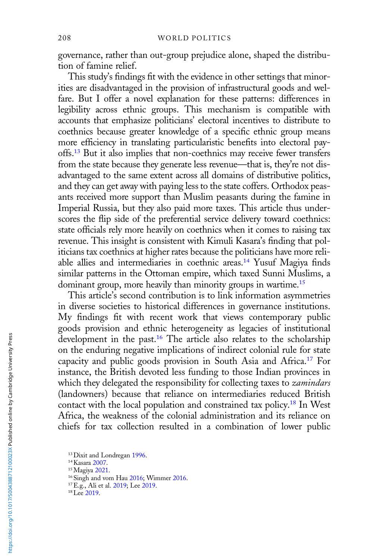governance, rather than out-group prejudice alone, shaped the distribution of famine relief.

This study's findings fit with the evidence in other settings that minorities are disadvantaged in the provision of infrastructural goods and welfare. But I offer a novel explanation for these patterns: differences in legibility across ethnic groups. This mechanism is compatible with accounts that emphasize politicians' electoral incentives to distribute to coethnics because greater knowledge of a specific ethnic group means more efficiency in translating particularistic benefits into electoral payoffs.13 But it also implies that non-coethnics may receive fewer transfers from the state because they generate less revenue—that is, they're not disadvantaged to the same extent across all domains of distributive politics, and they can get away with paying less to the state coffers. Orthodox peasants received more support than Muslim peasants during the famine in Imperial Russia, but they also paid more taxes. This article thus underscores the flip side of the preferential service delivery toward coethnics: state officials rely more heavily on coethnics when it comes to raising tax revenue. This insight is consistent with Kimuli Kasara's finding that politicians tax coethnics at higher rates because the politicians have more reliable allies and intermediaries in coethnic areas.<sup>14</sup> Yusuf Magiya finds similar patterns in the Ottoman empire, which taxed Sunni Muslims, a dominant group, more heavily than minority groups in wartime.<sup>15</sup>

This article's second contribution is to link information asymmetries in diverse societies to historical differences in governance institutions. My findings fit with recent work that views contemporary public goods provision and ethnic heterogeneity as legacies of institutional development in the past.<sup>16</sup> The article also relates to the scholarship on the enduring negative implications of indirect colonial rule for state capacity and public goods provision in South Asia and Africa.<sup>17</sup> For instance, the British devoted less funding to those Indian provinces in which they delegated the responsibility for collecting taxes to *zamindars* (landowners) because that reliance on intermediaries reduced British contact with the local population and constrained tax policy.<sup>18</sup> In West Africa, the weakness of the colonial administration and its reliance on chiefs for tax collection resulted in a combination of lower public

<sup>&</sup>lt;sup>13</sup> Dixit and Londregan [1996.](#page-38-0)

<sup>14</sup>Kasara [2007](#page-39-0).

<sup>15</sup>Magiya [2021](#page-40-0).

<sup>&</sup>lt;sup>16</sup> Singh and vom Hau [2016](#page-41-0); Wimmer [2016.](#page-42-0)

<sup>&</sup>lt;sup>17</sup> E.g., Ali et al. [2019;](#page-37-0) Lee [2019.](#page-40-0)

<sup>&</sup>lt;sup>18</sup>Lee [2019](#page-40-0).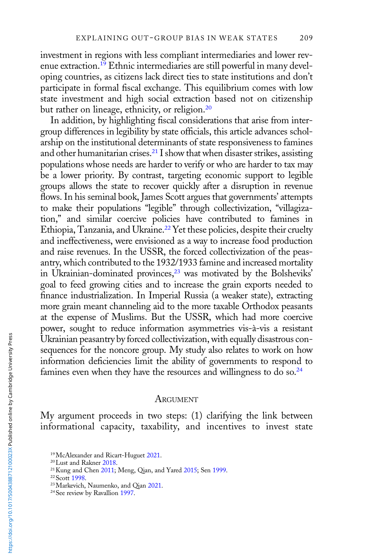investment in regions with less compliant intermediaries and lower revenue extraction.<sup>19</sup> Ethnic intermediaries are still powerful in many developing countries, as citizens lack direct ties to state institutions and don't participate in formal fiscal exchange. This equilibrium comes with low state investment and high social extraction based not on citizenship but rather on lineage, ethnicity, or religion.<sup>20</sup>

In addition, by highlighting fiscal considerations that arise from intergroup differences in legibility by state officials, this article advances scholarship on the institutional determinants of state responsiveness to famines and other humanitarian crises.<sup>21</sup> I show that when disaster strikes, assisting populations whose needs are harder to verify or who are harder to tax may be a lower priority. By contrast, targeting economic support to legible groups allows the state to recover quickly after a disruption in revenue flows. In his seminal book, James Scott argues that governments' attempts to make their populations "legible" through collectivization, "villagization," and similar coercive policies have contributed to famines in Ethiopia, Tanzania, and Ukraine.<sup>22</sup> Yet these policies, despite their cruelty and ineffectiveness, were envisioned as a way to increase food production and raise revenues. In the USSR, the forced collectivization of the peasantry, which contributed to the 1932/1933 famine and increased mortality in Ukrainian-dominated provinces,<sup>23</sup> was motivated by the Bolsheviks' goal to feed growing cities and to increase the grain exports needed to finance industrialization. In Imperial Russia (a weaker state), extracting more grain meant channeling aid to the more taxable Orthodox peasants at the expense of Muslims. But the USSR, which had more coercive power, sought to reduce information asymmetries vis-à-vis a resistant Ukrainian peasantry by forced collectivization, with equally disastrous consequences for the noncore group. My study also relates to work on how information deficiencies limit the ability of governments to respond to famines even when they have the resources and willingness to do so.<sup>24</sup>

#### ARGUMENT

My argument proceeds in two steps: (1) clarifying the link between informational capacity, taxability, and incentives to invest state

<sup>&</sup>lt;sup>19</sup>McAlexander and Ricart-Huguet [2021](#page-40-0).

<sup>20</sup>Lust and Rakner [2018.](#page-40-0)

<sup>21</sup>Kung and Chen [2011](#page-39-0); Meng, Qian, and Yared [2015](#page-40-0); Sen [1999.](#page-41-0)

<sup>&</sup>lt;sup>22</sup> Scott [1998.](#page-41-0)

<sup>23</sup>Markevich, Naumenko, and Qian [2021.](#page-40-0)

<sup>&</sup>lt;sup>24</sup> See review by Ravallion [1997.](#page-41-0)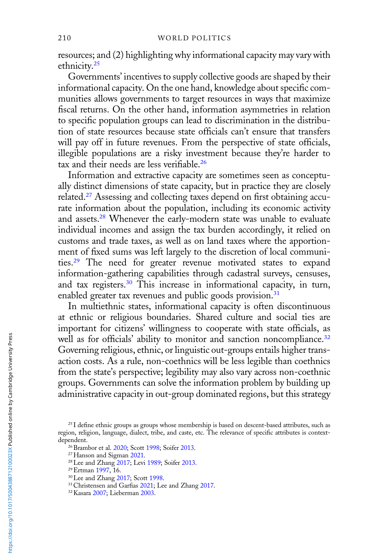resources; and (2) highlighting why informational capacity may vary with ethnicity.25

Governments' incentives to supply collective goods are shaped by their informational capacity. On the one hand, knowledge about specific communities allows governments to target resources in ways that maximize fiscal returns. On the other hand, information asymmetries in relation to specific population groups can lead to discrimination in the distribution of state resources because state officials can't ensure that transfers will pay off in future revenues. From the perspective of state officials, illegible populations are a risky investment because they're harder to tax and their needs are less verifiable.<sup>26</sup>

Information and extractive capacity are sometimes seen as conceptually distinct dimensions of state capacity, but in practice they are closely related.27 Assessing and collecting taxes depend on first obtaining accurate information about the population, including its economic activity and assets.<sup>28</sup> Whenever the early-modern state was unable to evaluate individual incomes and assign the tax burden accordingly, it relied on customs and trade taxes, as well as on land taxes where the apportionment of fixed sums was left largely to the discretion of local communities.<sup>29</sup> The need for greater revenue motivated states to expand information-gathering capabilities through cadastral surveys, censuses, and tax registers.<sup>30</sup> This increase in informational capacity, in turn, enabled greater tax revenues and public goods provision.<sup>31</sup>

In multiethnic states, informational capacity is often discontinuous at ethnic or religious boundaries. Shared culture and social ties are important for citizens' willingness to cooperate with state officials, as well as for officials' ability to monitor and sanction noncompliance.<sup>32</sup> Governing religious, ethnic, or linguistic out-groups entails higher transaction costs. As a rule, non-coethnics will be less legible than coethnics from the state's perspective; legibility may also vary across non-coethnic groups. Governments can solve the information problem by building up administrative capacity in out-group dominated regions, but this strategy

<sup>&</sup>lt;sup>25</sup> I define ethnic groups as groups whose membership is based on descent-based attributes, such as region, religion, language, dialect, tribe, and caste, etc. The relevance of specific attributes is contextdependent.

<sup>26</sup>Brambor et al. [2020;](#page-38-0) Scott [1998;](#page-41-0) Soifer [2013.](#page-42-0)

<sup>&</sup>lt;sup>27</sup> Hanson and Sigman [2021](#page-39-0).

<sup>28</sup>Lee and Zhang [2017;](#page-40-0) Levi [1989](#page-40-0); Soifer [2013](#page-42-0).

<sup>29</sup>Ertman [1997,](#page-39-0) 16.

<sup>30</sup>Lee and Zhang [2017;](#page-40-0) Scott [1998.](#page-41-0)

<sup>&</sup>lt;sup>31</sup> Christensen and Garfias [2021](#page-38-0); Lee and Zhang [2017](#page-40-0).

<sup>32</sup>Kasara [2007](#page-39-0); Lieberman [2003](#page-40-0).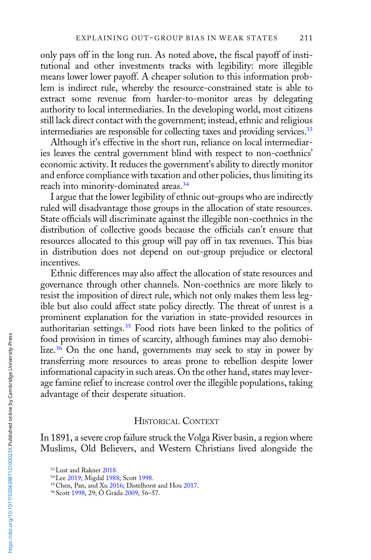only pays off in the long run. As noted above, the fiscal payoff of institutional and other investments tracks with legibility: more illegible means lower lower payoff. A cheaper solution to this information problem is indirect rule, whereby the resource-constrained state is able to extract some revenue from harder-to-monitor areas by delegating authority to local intermediaries. In the developing world, most citizens still lack direct contact with the government; instead, ethnic and religious intermediaries are responsible for collecting taxes and providing services.<sup>33</sup>

Although it's effective in the short run, reliance on local intermediaries leaves the central government blind with respect to non-coethnics' economic activity. It reduces the government's ability to directly monitor and enforce compliance with taxation and other policies, thus limiting its reach into minority-dominated areas.<sup>34</sup>

I argue that the lower legibility of ethnic out-groups who are indirectly ruled will disadvantage those groups in the allocation of state resources. State officials will discriminate against the illegible non-coethnics in the distribution of collective goods because the officials can't ensure that resources allocated to this group will pay off in tax revenues. This bias in distribution does not depend on out-group prejudice or electoral incentives.

Ethnic differences may also affect the allocation of state resources and governance through other channels. Non-coethnics are more likely to resist the imposition of direct rule, which not only makes them less legible but also could affect state policy directly. The threat of unrest is a prominent explanation for the variation in state-provided resources in authoritarian settings.<sup>35</sup> Food riots have been linked to the politics of food provision in times of scarcity, although famines may also demobilize. $36$  On the one hand, governments may seek to stay in power by transferring more resources to areas prone to rebellion despite lower informational capacity in such areas. On the other hand, states may leverage famine relief to increase control over the illegible populations, taking advantage of their desperate situation.

## HISTORICAL CONTEXT

In 1891, a severe crop failure struck the Volga River basin, a region where Muslims, Old Believers, and Western Christians lived alongside the

<sup>&</sup>lt;sup>33</sup> Lust and Rakner [2018.](#page-40-0)

<sup>34</sup>Lee [2019](#page-40-0); Migdal [1988;](#page-40-0) Scott [1998.](#page-41-0)

<sup>35</sup>Chen, Pan, and Xu [2016](#page-38-0); Distelhorst and Hou [2017](#page-38-0).

<sup>36</sup>Scott [1998,](#page-41-0) 29; Ó Gráda [2009](#page-41-0), 56–57.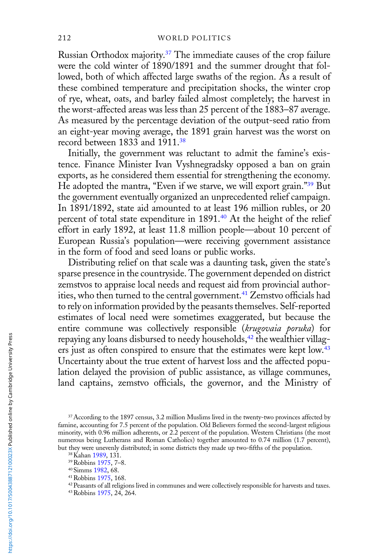Russian Orthodox majority.37 The immediate causes of the crop failure were the cold winter of 1890/1891 and the summer drought that followed, both of which affected large swaths of the region. As a result of these combined temperature and precipitation shocks, the winter crop of rye, wheat, oats, and barley failed almost completely; the harvest in the worst-affected areas was less than 25 percent of the 1883–87 average. As measured by the percentage deviation of the output-seed ratio from an eight-year moving average, the 1891 grain harvest was the worst on record between 1833 and 1911.<sup>38</sup>

Initially, the government was reluctant to admit the famine's existence. Finance Minister Ivan Vyshnegradsky opposed a ban on grain exports, as he considered them essential for strengthening the economy. He adopted the mantra, "Even if we starve, we will export grain."<sup>39</sup> But the government eventually organized an unprecedented relief campaign. In 1891/1892, state aid amounted to at least 196 million rubles, or 20 percent of total state expenditure in 1891.<sup>40</sup> At the height of the relief effort in early 1892, at least 11.8 million people—about 10 percent of European Russia's population—were receiving government assistance in the form of food and seed loans or public works.

Distributing relief on that scale was a daunting task, given the state's sparse presence in the countryside. The government depended on district zemstvos to appraise local needs and request aid from provincial authorities, who then turned to the central government.<sup>41</sup> Zemstvo officials had to rely on information provided by the peasants themselves. Self-reported estimates of local need were sometimes exaggerated, but because the entire commune was collectively responsible (krugovaia poruka) for repaying any loans disbursed to needy households,<sup>42</sup> the wealthier villagers just as often conspired to ensure that the estimates were kept low.<sup>43</sup> Uncertainty about the true extent of harvest loss and the affected population delayed the provision of public assistance, as village communes, land captains, zemstvo officials, the governor, and the Ministry of

<sup>37</sup>According to the 1897 census, 3.2 million Muslims lived in the twenty-two provinces affected by famine, accounting for 7.5 percent of the population. Old Believers formed the second-largest religious minority, with 0.96 million adherents, or 2.2 percent of the population. Western Christians (the most numerous being Lutherans and Roman Catholics) together amounted to 0.74 million (1.7 percent), but they were unevenly distributed; in some districts they made up two-fifths of the population.

<sup>38</sup>Kahan [1989](#page-39-0), 131.

<sup>39</sup>Robbins [1975,](#page-41-0) 7–8.

<sup>40</sup>Simms [1982](#page-41-0), 68.

<sup>41</sup>Robbins [1975,](#page-41-0) 168.

<sup>42</sup>Peasants of all religions lived in communes and were collectively responsible for harvests and taxes.

<sup>43</sup>Robbins [1975,](#page-41-0) 24, 264.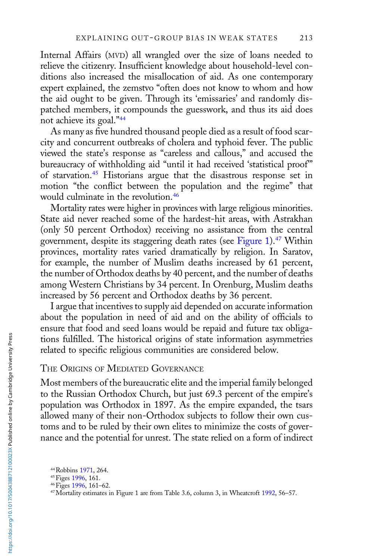Internal Affairs (MVD) all wrangled over the size of loans needed to relieve the citizenry. Insufficient knowledge about household-level conditions also increased the misallocation of aid. As one contemporary expert explained, the zemstvo "often does not know to whom and how the aid ought to be given. Through its 'emissaries' and randomly dispatched members, it compounds the guesswork, and thus its aid does not achieve its goal."<sup>44</sup>

As many as five hundred thousand people died as a result of food scarcity and concurrent outbreaks of cholera and typhoid fever. The public viewed the state's response as "careless and callous," and accused the bureaucracy of withholding aid "until it had received 'statistical proof'" of starvation.45 Historians argue that the disastrous response set in motion "the conflict between the population and the regime" that would culminate in the revolution.<sup>46</sup>

Mortality rates were higher in provinces with large religious minorities. State aid never reached some of the hardest-hit areas, with Astrakhan (only 50 percent Orthodox) receiving no assistance from the central government, despite its staggering death rates (see [Figure 1\)](#page-9-0).47 Within provinces, mortality rates varied dramatically by religion. In Saratov, for example, the number of Muslim deaths increased by 61 percent, the number of Orthodox deaths by 40 percent, and the number of deaths among Western Christians by 34 percent. In Orenburg, Muslim deaths increased by 56 percent and Orthodox deaths by 36 percent.

I argue that incentives to supply aid depended on accurate information about the population in need of aid and on the ability of officials to ensure that food and seed loans would be repaid and future tax obligations fulfilled. The historical origins of state information asymmetries related to specific religious communities are considered below.

# THE ORIGINS OF MEDIATED GOVERNANCE

Most members of the bureaucratic elite and the imperial family belonged to the Russian Orthodox Church, but just 69.3 percent of the empire's population was Orthodox in 1897. As the empire expanded, the tsars allowed many of their non-Orthodox subjects to follow their own customs and to be ruled by their own elites to minimize the costs of governance and the potential for unrest. The state relied on a form of indirect

<sup>44</sup>Robbins [1971,](#page-41-0) 264.

<sup>&</sup>lt;sup>45</sup> Figes [1996](#page-39-0), 161.

<sup>46</sup>Figes [1996](#page-39-0), 161–62.

<sup>&</sup>lt;sup>47</sup>Mortality estimates in Figure 1 are from Table 3.6, column 3, in Wheatcroft [1992](#page-42-0), 56–57.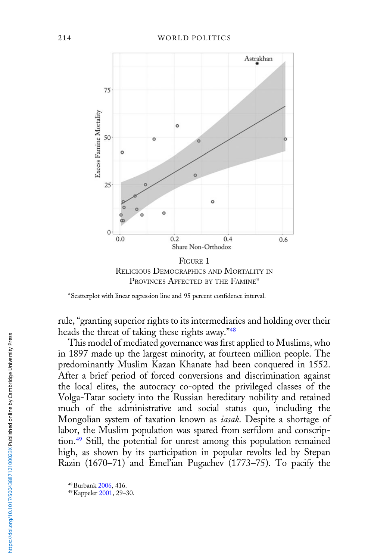<span id="page-9-0"></span>

PROVINCES AFFECTED BY THE FAMINE<sup>a</sup>

rule, "granting superior rights to its intermediaries and holding over their heads the threat of taking these rights away."<sup>48</sup>

This model of mediated governance was first applied to Muslims, who in 1897 made up the largest minority, at fourteen million people. The predominantly Muslim Kazan Khanate had been conquered in 1552. After a brief period of forced conversions and discrimination against the local elites, the autocracy co-opted the privileged classes of the Volga-Tatar society into the Russian hereditary nobility and retained much of the administrative and social status quo, including the Mongolian system of taxation known as *iasak*. Despite a shortage of labor, the Muslim population was spared from serfdom and conscription.49 Still, the potential for unrest among this population remained high, as shown by its participation in popular revolts led by Stepan Razin (1670–71) and Emel'ian Pugachev (1773–75). To pacify the

<sup>&</sup>lt;sup>a</sup> Scatterplot with linear regression line and 95 percent confidence interval.

<sup>48</sup>Burbank [2006,](#page-38-0) 416.

<sup>49</sup>Kappeler [2001,](#page-39-0) 29–30.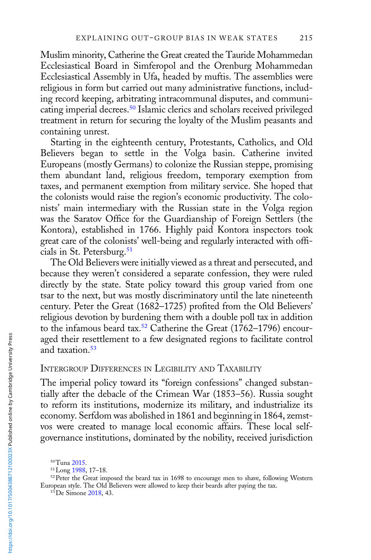Muslim minority, Catherine the Great created the Tauride Mohammedan Ecclesiastical Board in Simferopol and the Orenburg Mohammedan Ecclesiastical Assembly in Ufa, headed by muftis. The assemblies were religious in form but carried out many administrative functions, including record keeping, arbitrating intracommunal disputes, and communicating imperial decrees.50 Islamic clerics and scholars received privileged treatment in return for securing the loyalty of the Muslim peasants and containing unrest.

Starting in the eighteenth century, Protestants, Catholics, and Old Believers began to settle in the Volga basin. Catherine invited Europeans (mostly Germans) to colonize the Russian steppe, promising them abundant land, religious freedom, temporary exemption from taxes, and permanent exemption from military service. She hoped that the colonists would raise the region's economic productivity. The colonists' main intermediary with the Russian state in the Volga region was the Saratov Office for the Guardianship of Foreign Settlers (the Kontora), established in 1766. Highly paid Kontora inspectors took great care of the colonists' well-being and regularly interacted with officials in St. Petersburg.<sup>51</sup>

The Old Believers were initially viewed as a threat and persecuted, and because they weren't considered a separate confession, they were ruled directly by the state. State policy toward this group varied from one tsar to the next, but was mostly discriminatory until the late nineteenth century. Peter the Great (1682–1725) profited from the Old Believers' religious devotion by burdening them with a double poll tax in addition to the infamous beard tax.<sup>52</sup> Catherine the Great  $(1762-1796)$  encouraged their resettlement to a few designated regions to facilitate control and taxation.<sup>53</sup>

# INTERGROUP DIFFERENCES IN LEGIBILITY AND TAXABILITY

The imperial policy toward its "foreign confessions" changed substantially after the debacle of the Crimean War (1853–56). Russia sought to reform its institutions, modernize its military, and industrialize its economy. Serfdom was abolished in 1861 and beginning in 1864, zemstvos were created to manage local economic affairs. These local selfgovernance institutions, dominated by the nobility, received jurisdiction

<sup>50</sup>Tuna [2015](#page-42-0).

<sup>51</sup>Long [1988,](#page-40-0) 17–18.

<sup>52</sup>Peter the Great imposed the beard tax in 1698 to encourage men to shave, following Western European style. The Old Believers were allowed to keep their beards after paying the tax.

<sup>53</sup>De Simone [2018,](#page-38-0) 43.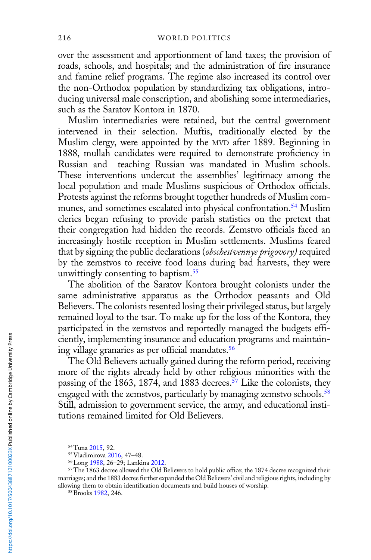over the assessment and apportionment of land taxes; the provision of roads, schools, and hospitals; and the administration of fire insurance and famine relief programs. The regime also increased its control over the non-Orthodox population by standardizing tax obligations, introducing universal male conscription, and abolishing some intermediaries, such as the Saratov Kontora in 1870.

Muslim intermediaries were retained, but the central government intervened in their selection. Muftis, traditionally elected by the Muslim clergy, were appointed by the MVD after 1889. Beginning in 1888, mullah candidates were required to demonstrate proficiency in Russian and teaching Russian was mandated in Muslim schools. These interventions undercut the assemblies' legitimacy among the local population and made Muslims suspicious of Orthodox officials. Protests against the reforms brought together hundreds of Muslim communes, and sometimes escalated into physical confrontation.<sup>54</sup> Muslim clerics began refusing to provide parish statistics on the pretext that their congregation had hidden the records. Zemstvo officials faced an increasingly hostile reception in Muslim settlements. Muslims feared that by signing the public declarations (obschestvennye prigovory) required by the zemstvos to receive food loans during bad harvests, they were unwittingly consenting to baptism.<sup>55</sup>

The abolition of the Saratov Kontora brought colonists under the same administrative apparatus as the Orthodox peasants and Old Believers. The colonists resented losing their privileged status, but largely remained loyal to the tsar. To make up for the loss of the Kontora, they participated in the zemstvos and reportedly managed the budgets efficiently, implementing insurance and education programs and maintaining village granaries as per official mandates.56

The Old Believers actually gained during the reform period, receiving more of the rights already held by other religious minorities with the passing of the 1863, 1874, and 1883 decrees.<sup>57</sup> Like the colonists, they engaged with the zemstvos, particularly by managing zemstvo schools.<sup>58</sup> Still, admission to government service, the army, and educational institutions remained limited for Old Believers.

<sup>57</sup>The 1863 decree allowed the Old Believers to hold public office; the 1874 decree recognized their marriages; and the 1883 decree further expanded the Old Believers' civil and religious rights, including by allowing them to obtain identification documents and build houses of worship.

<sup>54</sup>Tuna [2015](#page-42-0), 92.

<sup>55</sup>Vladimirova [2016,](#page-42-0) 47–48.

<sup>56</sup>Long [1988,](#page-40-0) 26–29; Lankina [2012.](#page-40-0)

<sup>&</sup>lt;sup>58</sup> Brooks [1982,](#page-38-0) 246.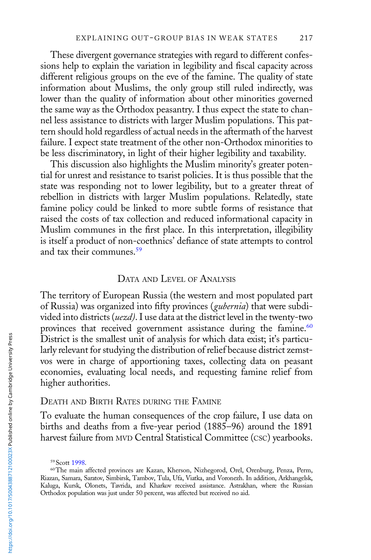These divergent governance strategies with regard to different confessions help to explain the variation in legibility and fiscal capacity across different religious groups on the eve of the famine. The quality of state information about Muslims, the only group still ruled indirectly, was lower than the quality of information about other minorities governed the same way as the Orthodox peasantry. I thus expect the state to channel less assistance to districts with larger Muslim populations. This pattern should hold regardless of actual needs in the aftermath of the harvest failure. I expect state treatment of the other non-Orthodox minorities to be less discriminatory, in light of their higher legibility and taxability.

This discussion also highlights the Muslim minority's greater potential for unrest and resistance to tsarist policies. It is thus possible that the state was responding not to lower legibility, but to a greater threat of rebellion in districts with larger Muslim populations. Relatedly, state famine policy could be linked to more subtle forms of resistance that raised the costs of tax collection and reduced informational capacity in Muslim communes in the first place. In this interpretation, illegibility is itself a product of non-coethnics' defiance of state attempts to control and tax their communes.59

#### DATA AND LEVEL OF ANALYSIS

The territory of European Russia (the western and most populated part of Russia) was organized into fifty provinces (gubernia) that were subdivided into districts (uezd). I use data at the district level in the twenty-two provinces that received government assistance during the famine. $60$ District is the smallest unit of analysis for which data exist; it's particularly relevant for studying the distribution of relief because district zemstvos were in charge of apportioning taxes, collecting data on peasant economies, evaluating local needs, and requesting famine relief from higher authorities.

## DEATH AND BIRTH RATES DURING THE FAMINE

To evaluate the human consequences of the crop failure, I use data on births and deaths from a five-year period (1885–96) around the 1891 harvest failure from MVD Central Statistical Committee (CSC) yearbooks.

<sup>59</sup>Scott [1998.](#page-41-0)

<sup>60</sup>The main affected provinces are Kazan, Kherson, Nizhegorod, Orel, Orenburg, Penza, Perm, Riazan, Samara, Saratov, Simbirsk, Tambov, Tula, Ufa, Viatka, and Voronezh. In addition, Arkhangelsk, Kaluga, Kursk, Olonets, Tavrida, and Kharkov received assistance. Astrakhan, where the Russian Orthodox population was just under 50 percent, was affected but received no aid.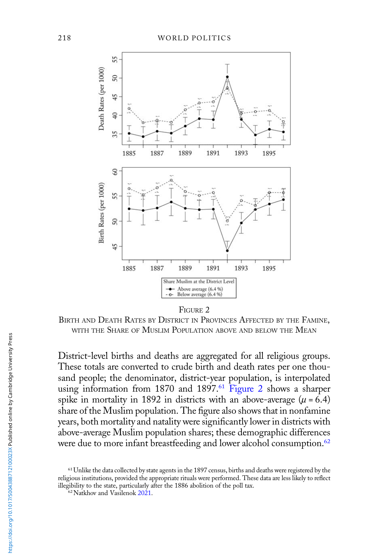

FIGURE 2

BIRTH AND DEATH RATES BY DISTRICT IN PROVINCES AFFECTED BY THE FAMINE, WITH THE SHARE OF MUSLIM POPULATION ABOVE AND BELOW THE MEAN

District-level births and deaths are aggregated for all religious groups. These totals are converted to crude birth and death rates per one thousand people; the denominator, district-year population, is interpolated using information from 1870 and 1897.<sup>61</sup> Figure 2 shows a sharper spike in mortality in 1892 in districts with an above-average  $(\mu = 6.4)$ share of the Muslim population. The figure also shows that in nonfamine years, both mortality and natality were significantly lower in districts with above-average Muslim population shares; these demographic differences were due to more infant breastfeeding and lower alcohol consumption.<sup>62</sup>

<sup>&</sup>lt;sup>61</sup> Unlike the data collected by state agents in the 1897 census, births and deaths were registered by the religious institutions, provided the appropriate rituals were performed. These data are less likely to reflect illegibility to the state, particularly after the 1886 abolition of the poll tax.

<sup>62</sup>Natkhov and Vasilenok [2021.](#page-41-0)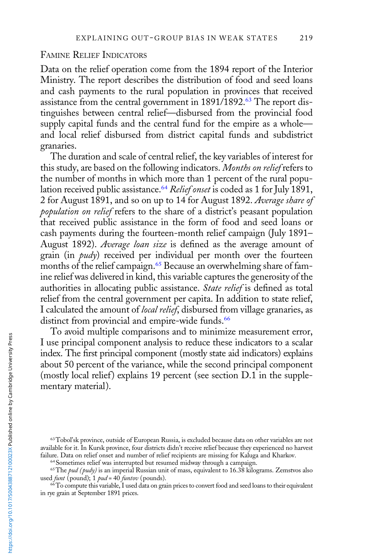#### FAMINE RELIEF INDICATORS

Data on the relief operation come from the 1894 report of the Interior Ministry. The report describes the distribution of food and seed loans and cash payments to the rural population in provinces that received assistance from the central government in 1891/1892.<sup>63</sup> The report distinguishes between central relief—disbursed from the provincial food supply capital funds and the central fund for the empire as a whole and local relief disbursed from district capital funds and subdistrict granaries.

The duration and scale of central relief, the key variables of interest for this study, are based on the following indicators. Months on relief refers to the number of months in which more than 1 percent of the rural population received public assistance.<sup>64</sup> Relief onset is coded as 1 for July 1891, 2 for August 1891, and so on up to 14 for August 1892. Average share of population on relief refers to the share of a district's peasant population that received public assistance in the form of food and seed loans or cash payments during the fourteen-month relief campaign (July 1891– August 1892). Average loan size is defined as the average amount of grain (in *pudy*) received per individual per month over the fourteen months of the relief campaign.<sup>65</sup> Because an overwhelming share of famine relief was delivered in kind, this variable captures the generosity of the authorities in allocating public assistance. State relief is defined as total relief from the central government per capita. In addition to state relief, I calculated the amount of local relief, disbursed from village granaries, as distinct from provincial and empire-wide funds.<sup>66</sup>

To avoid multiple comparisons and to minimize measurement error, I use principal component analysis to reduce these indicators to a scalar index. The first principal component (mostly state aid indicators) explains about 50 percent of the variance, while the second principal component (mostly local relief) explains 19 percent (see section D.1 in the supplementary material).

<sup>66</sup>To compute this variable, I used data on grain prices to convert food and seed loans to their equivalent in rye grain at September 1891 prices.

<sup>63</sup>Tobol'sk province, outside of European Russia, is excluded because data on other variables are not available for it. In Kursk province, four districts didn't receive relief because they experienced no harvest failure. Data on relief onset and number of relief recipients are missing for Kaluga and Kharkov.

<sup>&</sup>lt;sup>64</sup> Sometimes relief was interrupted but resumed midway through a campaign.

<sup>&</sup>lt;sup>65</sup>The *pud (pudy)* is an imperial Russian unit of mass, equivalent to 16.38 kilograms. Zemstvos also used *funt* (pound);  $1$  *pud* = 40 *funtov* (pounds).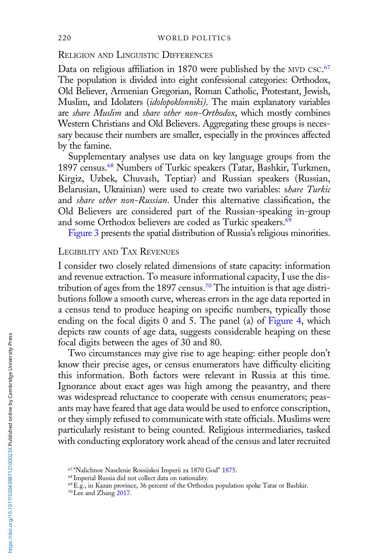## RELIGION AND LINGUISTIC DIFFERENCES

Data on religious affiliation in 1870 were published by the MVD CSC.<sup>67</sup> The population is divided into eight confessional categories: Orthodox, Old Believer, Armenian Gregorian, Roman Catholic, Protestant, Jewish, Muslim, and Idolaters (idolopoklonniki). The main explanatory variables are share Muslim and share other non-Orthodox, which mostly combines Western Christians and Old Believers. Aggregating these groups is necessary because their numbers are smaller, especially in the provinces affected by the famine.

Supplementary analyses use data on key language groups from the 1897 census.68 Numbers of Turkic speakers (Tatar, Bashkir, Turkmen, Kirgiz, Uzbek, Chuvash, Teptiar) and Russian speakers (Russian, Belarusian, Ukrainian) were used to create two variables: share Turkic and share other non-Russian. Under this alternative classification, the Old Believers are considered part of the Russian-speaking in-group and some Orthodox believers are coded as Turkic speakers.<sup>69</sup>

[Figure 3](#page-16-0) presents the spatial distribution of Russia's religious minorities.

# LEGIBILITY AND TAX REVENUES

I consider two closely related dimensions of state capacity: information and revenue extraction. To measure informational capacity, I use the distribution of ages from the 1897 census.<sup>70</sup> The intuition is that age distributions follow a smooth curve, whereas errors in the age data reported in a census tend to produce heaping on specific numbers, typically those ending on the focal digits 0 and 5. The panel (a) of [Figure 4](#page-16-0), which depicts raw counts of age data, suggests considerable heaping on these focal digits between the ages of 30 and 80.

Two circumstances may give rise to age heaping: either people don't know their precise ages, or census enumerators have difficulty eliciting this information. Both factors were relevant in Russia at this time. Ignorance about exact ages was high among the peasantry, and there was widespread reluctance to cooperate with census enumerators; peasants may have feared that age data would be used to enforce conscription, or they simply refused to communicate with state officials. Muslims were particularly resistant to being counted. Religious intermediaries, tasked with conducting exploratory work ahead of the census and later recruited

<sup>67</sup> "Nalichnoe Naselenie Rossiiskoi Imperii za 1870 God" [1875](#page-41-0).

<sup>68</sup> Imperial Russia did not collect data on nationality.

<sup>69</sup>E.g., in Kazan province, 36 percent of the Orthodox population spoke Tatar or Bashkir.

<sup>70</sup>Lee and Zhang [2017.](#page-40-0)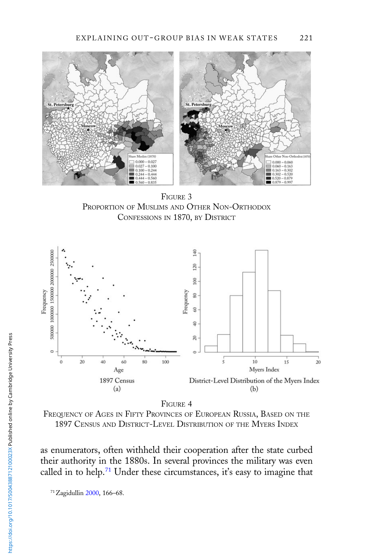<span id="page-16-0"></span>

FIGURE 3 PROPORTION OF MUSLIMS AND OTHER NON-ORTHODOX CONFESSIONS IN 1870, BY DISTRICT



FIGURE 4

FREQUENCY OF AGES IN FIFTY PROVINCES OF EUROPEAN RUSSIA, BASED ON THE 1897 CENSUS AND DISTRICT-LEVEL DISTRIBUTION OF THE MYERS INDEX

as enumerators, often withheld their cooperation after the state curbed their authority in the 1880s. In several provinces the military was even called in to help.<sup>71</sup> Under these circumstances, it's easy to imagine that

71Zagidullin [2000,](#page-42-0) 166–68.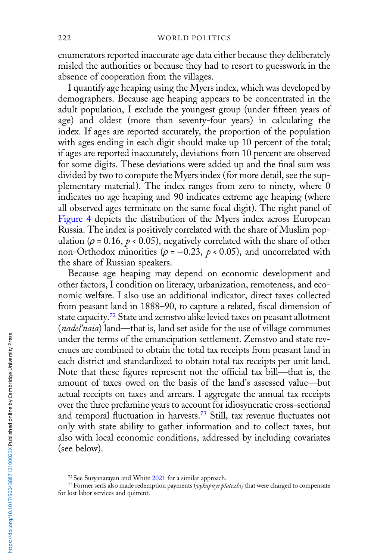enumerators reported inaccurate age data either because they deliberately misled the authorities or because they had to resort to guesswork in the absence of cooperation from the villages.

I quantify age heaping using the Myers index, which was developed by demographers. Because age heaping appears to be concentrated in the adult population, I exclude the youngest group (under fifteen years of age) and oldest (more than seventy-four years) in calculating the index. If ages are reported accurately, the proportion of the population with ages ending in each digit should make up 10 percent of the total; if ages are reported inaccurately, deviations from 10 percent are observed for some digits. These deviations were added up and the final sum was divided by two to compute the Myers index (for more detail, see the supplementary material). The index ranges from zero to ninety, where 0 indicates no age heaping and 90 indicates extreme age heaping (where all observed ages terminate on the same focal digit). The right panel of [Figure 4](#page-16-0) depicts the distribution of the Myers index across European Russia. The index is positively correlated with the share of Muslim population ( $\rho$  = 0.16,  $p < 0.05$ ), negatively correlated with the share of other non-Orthodox minorities ( $\rho = -0.23$ ,  $\rho < 0.05$ ), and uncorrelated with the share of Russian speakers.

Because age heaping may depend on economic development and other factors, I condition on literacy, urbanization, remoteness, and economic welfare. I also use an additional indicator, direct taxes collected from peasant land in 1888–90, to capture a related, fiscal dimension of state capacity.<sup>72</sup> State and zemstvo alike levied taxes on peasant allotment (*nadel'naia*) land—that is, land set aside for the use of village communes under the terms of the emancipation settlement. Zemstvo and state revenues are combined to obtain the total tax receipts from peasant land in each district and standardized to obtain total tax receipts per unit land. Note that these figures represent not the official tax bill—that is, the amount of taxes owed on the basis of the land's assessed value—but actual receipts on taxes and arrears. I aggregate the annual tax receipts over the three prefamine years to account for idiosyncratic cross-sectional and temporal fluctuation in harvests.<sup>73</sup> Still, tax revenue fluctuates not only with state ability to gather information and to collect taxes, but also with local economic conditions, addressed by including covariates (see below).

<sup>&</sup>lt;sup>72</sup> See Suryanarayan and White [2021](#page-42-0) for a similar approach.

<sup>&</sup>lt;sup>73</sup> Former serfs also made redemption payments (vykupnye platezhi) that were charged to compensate for lost labor services and quitrent.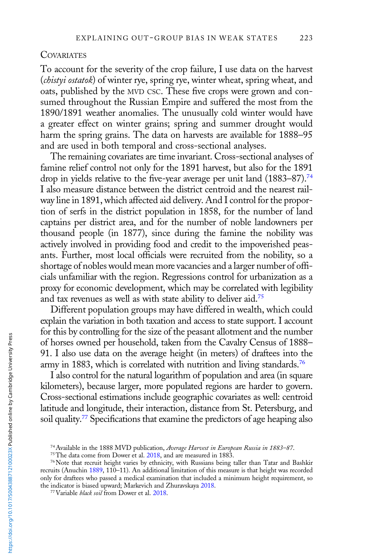#### **COVARIATES**

To account for the severity of the crop failure, I use data on the harvest (chistyi ostatok) of winter rye, spring rye, winter wheat, spring wheat, and oats, published by the MVD CSC. These five crops were grown and consumed throughout the Russian Empire and suffered the most from the 1890/1891 weather anomalies. The unusually cold winter would have a greater effect on winter grains; spring and summer drought would harm the spring grains. The data on harvests are available for 1888–95 and are used in both temporal and cross-sectional analyses.

The remaining covariates are time invariant. Cross-sectional analyses of famine relief control not only for the 1891 harvest, but also for the 1891 drop in yields relative to the five-year average per unit land (1883–87).<sup>74</sup> I also measure distance between the district centroid and the nearest railway line in 1891, which affected aid delivery. And I control for the proportion of serfs in the district population in 1858, for the number of land captains per district area, and for the number of noble landowners per thousand people (in 1877), since during the famine the nobility was actively involved in providing food and credit to the impoverished peasants. Further, most local officials were recruited from the nobility, so a shortage of nobles would mean more vacancies and a larger number of officials unfamiliar with the region. Regressions control for urbanization as a proxy for economic development, which may be correlated with legibility and tax revenues as well as with state ability to deliver aid.<sup>75</sup>

Different population groups may have differed in wealth, which could explain the variation in both taxation and access to state support. I account for this by controlling for the size of the peasant allotment and the number of horses owned per household, taken from the Cavalry Census of 1888– 91. I also use data on the average height (in meters) of draftees into the army in 1883, which is correlated with nutrition and living standards.<sup>76</sup>

I also control for the natural logarithm of population and area (in square kilometers), because larger, more populated regions are harder to govern. Cross-sectional estimations include geographic covariates as well: centroid latitude and longitude, their interaction, distance from St. Petersburg, and soil quality.<sup>77</sup> Specifications that examine the predictors of age heaping also

<sup>&</sup>lt;sup>74</sup> Available in the 1888 MVD publication, Average Harvest in European Russia in 1883-87.

<sup>&</sup>lt;sup>75</sup>The data come from Dower et al. [2018](#page-39-0), and are measured in 1883.

<sup>76</sup>Note that recruit height varies by ethnicity, with Russians being taller than Tatar and Bashkir recruits (Anuchin [1889](#page-38-0), 110–11). An additional limitation of this measure is that height was recorded only for draftees who passed a medical examination that included a minimum height requirement, so the indicator is biased upward; Markevich and Zhuravskaya [2018.](#page-40-0)

<sup>&</sup>lt;sup>77</sup> Variable *black soil* from Dower et al. [2018.](#page-39-0)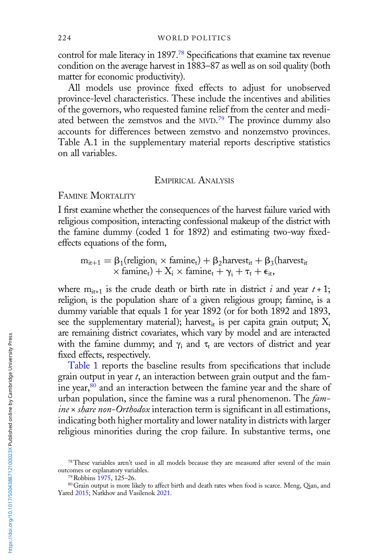control for male literacy in 1897.<sup>78</sup> Specifications that examine tax revenue condition on the average harvest in 1883–87 as well as on soil quality (both matter for economic productivity).

All models use province fixed effects to adjust for unobserved province-level characteristics. These include the incentives and abilities of the governors, who requested famine relief from the center and mediated between the zemstvos and the MVD.<sup>79</sup> The province dummy also accounts for differences between zemstvo and nonzemstvo provinces. Table A.1 in the supplementary material reports descriptive statistics on all variables.

#### EMPIRICAL ANALYSIS

FAMINE MORTALITY

I first examine whether the consequences of the harvest failure varied with religious composition, interacting confessional makeup of the district with the famine dummy (coded 1 for 1892) and estimating two-way fixedeffects equations of the form,

 $m_{it+1} = \beta_1$ (religion<sub>i</sub> × famine<sub>t</sub>) +  $\beta_2$ harvest<sub>it</sub> +  $\beta_3$ (harvest<sub>it</sub>  $\times$  famine<sub>t</sub>) +  $X_i \times$  famine<sub>t</sub> +  $\gamma_i$  +  $\tau_t$  +  $\epsilon_{it}$ ,

where  $m_{it+1}$  is the crude death or birth rate in district i and year  $t + 1$ ; religion<sub>i</sub> is the population share of a given religious group; famine<sub>t</sub> is a dummy variable that equals 1 for year 1892 (or for both 1892 and 1893, see the supplementary material); harvest<sub>it</sub> is per capita grain output;  $X_i$ are remaining district covariates, which vary by model and are interacted with the famine dummy; and  $\gamma_i$  and  $\tau_t$  are vectors of district and year fixed effects, respectively.

[Table 1](#page-20-0) reports the baseline results from specifications that include grain output in year  $t$ , an interaction between grain output and the famine year,80 and an interaction between the famine year and the share of urban population, since the famine was a rural phenomenon. The famine x share non-Orthodox interaction term is significant in all estimations, indicating both higher mortality and lower natality in districts with larger religious minorities during the crop failure. In substantive terms, one

<sup>78</sup>These variables aren't used in all models because they are measured after several of the main outcomes or explanatory variables.

<sup>79</sup>Robbins [1975,](#page-41-0) 125–26.

<sup>80</sup> Grain output is more likely to affect birth and death rates when food is scarce. Meng, Qian, and Yared [2015;](#page-40-0) Natkhov and Vasilenok [2021](#page-41-0).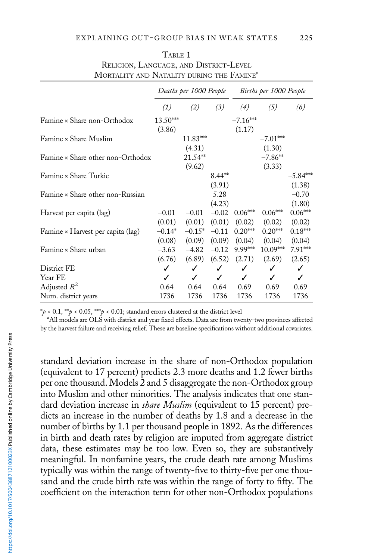<span id="page-20-0"></span>

|                                   | Deaths per 1000 People |              |          | Births per 1000 People |            |            |
|-----------------------------------|------------------------|--------------|----------|------------------------|------------|------------|
|                                   | (1)                    | (2)          | (3)      | (4)                    | (5)        | (6)        |
| Famine × Share non-Orthodox       | 13.50***               |              |          | $-7.16***$             |            |            |
|                                   | (3.86)                 |              |          | (1.17)                 |            |            |
| Famine × Share Muslim             |                        | 11.83***     |          |                        | $-7.01***$ |            |
|                                   |                        | (4.31)       |          |                        | (1.30)     |            |
| Famine × Share other non-Orthodox |                        | 21.54**      |          |                        | $-7.86**$  |            |
|                                   |                        | (9.62)       |          |                        | (3.33)     |            |
| Famine × Share Turkic             |                        |              | $8.44**$ |                        |            | $-5.84***$ |
|                                   |                        |              | (3.91)   |                        |            | (1.38)     |
| Famine × Share other non-Russian  |                        |              | 5.28     |                        |            | $-0.70$    |
|                                   |                        |              | (4.23)   |                        |            | (1.80)     |
| Harvest per capita (lag)          | $-0.01$                | $-0.01$      | $-0.02$  | $0.06***$              | $0.06***$  | $0.06***$  |
|                                   | (0.01)                 | (0.01)       | (0.01)   | (0.02)                 | (0.02)     | (0.02)     |
| Famine × Harvest per capita (lag) | $-0.14*$               | $-0.15*$     | $-0.11$  | $0.20***$              | $0.20***$  | $0.18***$  |
|                                   | (0.08)                 | (0.09)       | (0.09)   | (0.04)                 | (0.04)     | (0.04)     |
| Famine × Share urban              | $-3.63$                | $-4.82$      | $-0.12$  | 9.99***                | $10.09***$ | $7.91***$  |
|                                   | (6.76)                 | (6.89)       | (6.52)   | (2.71)                 | (2.69)     | (2.65)     |
| District FE                       | ✓                      | ✓            | ✓        | ✓                      | ✓          | ✓          |
| Year FE                           | ✓                      | $\checkmark$ | ✓        | ✓                      | ✓          | ✓          |
| Adjusted $R^2$                    | 0.64                   | 0.64         | 0.64     | 0.69                   | 0.69       | 0.69       |
| Num. district years               | 1736                   | 1736         | 1736     | 1736                   | 1736       | 1736       |

| TABLE 1                                               |
|-------------------------------------------------------|
| RELIGION, LANGUAGE, AND DISTRICT-LEVEL                |
| MORTALITY AND NATALITY DURING THE FAMINE <sup>a</sup> |

 $*\rho$  < 0.1, \*\*  $\rho$  < 0.05, \*\*  $\rho$  < 0.01; standard errors clustered at the district level

<sup>a</sup>All models are OLS with district and year fixed effects. Data are from twenty-two provinces affected by the harvest failure and receiving relief. These are baseline specifications without additional covariates.

standard deviation increase in the share of non-Orthodox population (equivalent to 17 percent) predicts 2.3 more deaths and 1.2 fewer births per one thousand. Models 2 and 5 disaggregate the non-Orthodox group into Muslim and other minorities. The analysis indicates that one standard deviation increase in *share Muslim* (equivalent to 15 percent) predicts an increase in the number of deaths by 1.8 and a decrease in the number of births by 1.1 per thousand people in 1892. As the differences in birth and death rates by religion are imputed from aggregate district data, these estimates may be too low. Even so, they are substantively meaningful. In nonfamine years, the crude death rate among Muslims typically was within the range of twenty-five to thirty-five per one thousand and the crude birth rate was within the range of forty to fifty. The coefficient on the interaction term for other non-Orthodox populations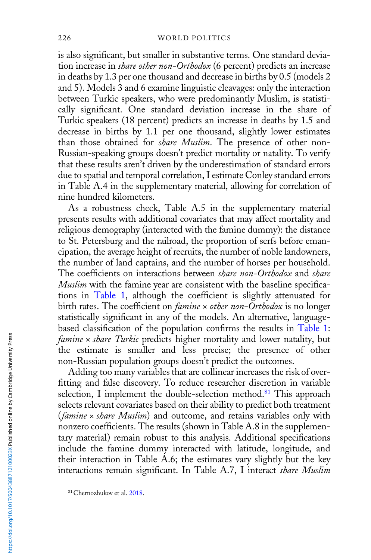is also significant, but smaller in substantive terms. One standard deviation increase in *share other non-Orthodox* (6 percent) predicts an increase in deaths by 1.3 per one thousand and decrease in births by 0.5 (models 2 and 5). Models 3 and 6 examine linguistic cleavages: only the interaction between Turkic speakers, who were predominantly Muslim, is statistically significant. One standard deviation increase in the share of Turkic speakers (18 percent) predicts an increase in deaths by 1.5 and decrease in births by 1.1 per one thousand, slightly lower estimates than those obtained for share Muslim. The presence of other non-Russian-speaking groups doesn't predict mortality or natality. To verify that these results aren't driven by the underestimation of standard errors due to spatial and temporal correlation, I estimate Conley standard errors in Table A.4 in the supplementary material, allowing for correlation of nine hundred kilometers.

As a robustness check, Table A.5 in the supplementary material presents results with additional covariates that may affect mortality and religious demography (interacted with the famine dummy): the distance to St. Petersburg and the railroad, the proportion of serfs before emancipation, the average height of recruits, the number of noble landowners, the number of land captains, and the number of horses per household. The coefficients on interactions between share non-Orthodox and share Muslim with the famine year are consistent with the baseline specifications in [Table 1](#page-20-0), although the coefficient is slightly attenuated for birth rates. The coefficient on *famine* x other non-Orthodox is no longer statistically significant in any of the models. An alternative, languagebased classification of the population confirms the results in [Table 1](#page-20-0): famine x share Turkic predicts higher mortality and lower natality, but the estimate is smaller and less precise; the presence of other non-Russian population groups doesn't predict the outcomes.

Adding too many variables that are collinear increases the risk of overfitting and false discovery. To reduce researcher discretion in variable selection, I implement the double-selection method.<sup>81</sup> This approach selects relevant covariates based on their ability to predict both treatment (famine x share Muslim) and outcome, and retains variables only with nonzero coefficients. The results (shown in Table A.8 in the supplementary material) remain robust to this analysis. Additional specifications include the famine dummy interacted with latitude, longitude, and their interaction in Table A.6; the estimates vary slightly but the key interactions remain significant. In Table A.7, I interact share Muslim

<sup>81</sup>Chernozhukov et al. [2018.](#page-38-0)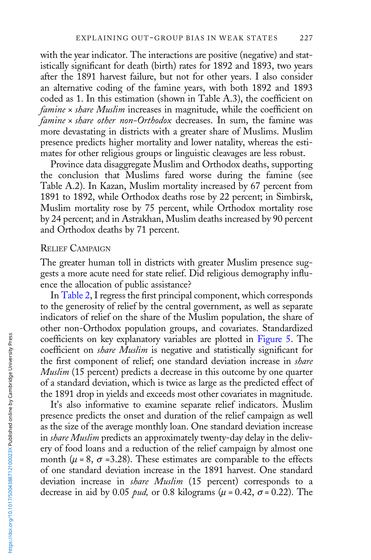with the year indicator. The interactions are positive (negative) and statistically significant for death (birth) rates for 1892 and 1893, two years after the 1891 harvest failure, but not for other years. I also consider an alternative coding of the famine years, with both 1892 and 1893 coded as 1. In this estimation (shown in Table A.3), the coefficient on  $famine \times share Muslim$  increases in magnitude, while the coefficient on famine x share other non-Orthodox decreases. In sum, the famine was more devastating in districts with a greater share of Muslims. Muslim presence predicts higher mortality and lower natality, whereas the estimates for other religious groups or linguistic cleavages are less robust.

Province data disaggregate Muslim and Orthodox deaths, supporting the conclusion that Muslims fared worse during the famine (see Table A.2). In Kazan, Muslim mortality increased by 67 percent from 1891 to 1892, while Orthodox deaths rose by 22 percent; in Simbirsk, Muslim mortality rose by 75 percent, while Orthodox mortality rose by 24 percent; and in Astrakhan, Muslim deaths increased by 90 percent and Orthodox deaths by 71 percent.

#### RELIEF CAMPAIGN

The greater human toll in districts with greater Muslim presence suggests a more acute need for state relief. Did religious demography influence the allocation of public assistance?

In [Table 2,](#page-23-0) I regress the first principal component, which corresponds to the generosity of relief by the central government, as well as separate indicators of relief on the share of the Muslim population, the share of other non-Orthodox population groups, and covariates. Standardized coefficients on key explanatory variables are plotted in [Figure 5.](#page-24-0) The coefficient on *share Muslim* is negative and statistically significant for the first component of relief; one standard deviation increase in *share* Muslim (15 percent) predicts a decrease in this outcome by one quarter of a standard deviation, which is twice as large as the predicted effect of the 1891 drop in yields and exceeds most other covariates in magnitude.

It's also informative to examine separate relief indicators. Muslim presence predicts the onset and duration of the relief campaign as well as the size of the average monthly loan. One standard deviation increase in *share Muslim* predicts an approximately twenty-day delay in the delivery of food loans and a reduction of the relief campaign by almost one month ( $\mu$  = 8,  $\sigma$  = 3.28). These estimates are comparable to the effects of one standard deviation increase in the 1891 harvest. One standard deviation increase in *share Muslim* (15 percent) corresponds to a decrease in aid by 0.05 *pud*, or 0.8 kilograms ( $\mu$  = 0.42,  $\sigma$  = 0.22). The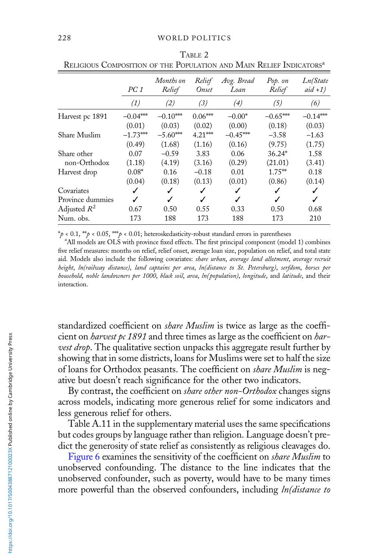|                  | PC1        | Months on<br>Relief | Relief<br>Onset | Avg. Bread<br>Loan | Pop. on<br>Relief | Ln(State<br>$aid +1)$ |
|------------------|------------|---------------------|-----------------|--------------------|-------------------|-----------------------|
|                  | (1)        | (2)                 | (3)             | (4)                | (5)               | (6)                   |
| Harvest pc 1891  | $-0.04***$ | $-0.10***$          | $0.06***$       | $-0.00*$           | $-0.65***$        | $-0.14***$            |
|                  | (0.01)     | (0.03)              | (0.02)          | (0.00)             | (0.18)            | (0.03)                |
| Share Muslim     | $-1.73***$ | $-5.60***$          | $4.21***$       | $-0.45***$         | $-3.58$           | $-1.63$               |
|                  | (0.49)     | (1.68)              | (1.16)          | (0.16)             | (9.75)            | (1.75)                |
| Share other      | 0.07       | $-0.59$             | 3.83            | 0.06               | $36.24*$          | 1.58                  |
| non-Orthodox     | (1.18)     | (4.19)              | (3.16)          | (0.29)             | (21.01)           | (3.41)                |
| Harvest drop     | $0.08*$    | 0.16                | $-0.18$         | 0.01               | $1.75***$         | 0.18                  |
|                  | (0.04)     | (0.18)              | (0.13)          | (0.01)             | (0.86)            | (0.14)                |
| Covariates       | ✓          | J                   | ✓               |                    | ✓                 | ✓                     |
| Province dummies |            | J                   | J               |                    | ℐ                 | ℐ                     |
| Adjusted $R^2$   | 0.67       | 0.50                | 0.55            | 0.33               | 0.50              | 0.68                  |
| Num. obs.        | 173        | 188                 | 173             | 188                | 173               | 210                   |

<span id="page-23-0"></span>TABLE 2 RELIGIOUS COMPOSITION OF THE POPULATION AND MAIN RELIEF INDICATORS<sup>a</sup>

\*p < 0.1, \*\*p < 0.05, \*\*\*p < 0.01; heteroskedasticity-robust standard errors in parentheses

<sup>a</sup>All models are OLS with province fixed effects. The first principal component (model 1) combines five relief measures: months on relief, relief onset, average loan size, population on relief, and total state aid. Models also include the following covariates: share urban, average land allotment, average recruit height, ln(railway distance), land captains per area, ln(distance to St. Petersburg), serfdom, horses per household, noble landowners per 1000, black soil, area, ln(population), longitude, and latitude, and their interaction.

standardized coefficient on *share Muslim* is twice as large as the coefficient on *harvest pc 1891* and three times as large as the coefficient on *har*vest drop. The qualitative section unpacks this aggregate result further by showing that in some districts, loans for Muslims were set to half the size of loans for Orthodox peasants. The coefficient on share Muslim is negative but doesn't reach significance for the other two indicators.

By contrast, the coefficient on *share other non-Orthodox* changes signs across models, indicating more generous relief for some indicators and less generous relief for others.

Table A.11 in the supplementary material uses the same specifications but codes groups by language rather than religion. Language doesn't predict the generosity of state relief as consistently as religious cleavages do.

[Figure 6](#page-25-0) examines the sensitivity of the coefficient on share Muslim to unobserved confounding. The distance to the line indicates that the unobserved confounder, such as poverty, would have to be many times more powerful than the observed confounders, including *ln(distance to*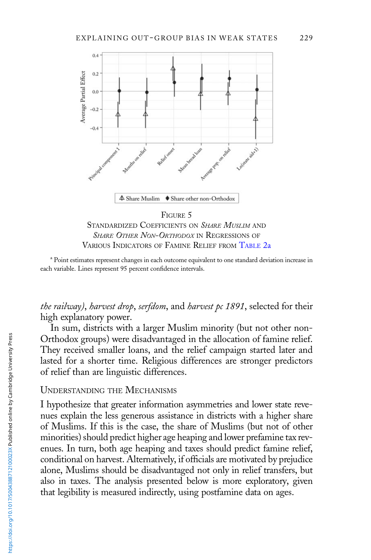<span id="page-24-0"></span>

STANDARDIZED COEFFICIENTS ON SHARE MUSLIM AND SHARE OTHER NON-ORTHODOX IN REGRESSIONS OF VARIOUS INDICATORS OF FAMINE RELIEF FROM [TABLE](#page-23-0) 2a

<sup>a</sup> Point estimates represent changes in each outcome equivalent to one standard deviation increase in each variable. Lines represent 95 percent confidence intervals.

the railway), harvest drop, serfdom, and harvest pc 1891, selected for their high explanatory power.

In sum, districts with a larger Muslim minority (but not other non-Orthodox groups) were disadvantaged in the allocation of famine relief. They received smaller loans, and the relief campaign started later and lasted for a shorter time. Religious differences are stronger predictors of relief than are linguistic differences.

## UNDERSTANDING THE MECHANISMS

I hypothesize that greater information asymmetries and lower state revenues explain the less generous assistance in districts with a higher share of Muslims. If this is the case, the share of Muslims (but not of other minorities) should predict higher age heaping and lower prefamine tax revenues. In turn, both age heaping and taxes should predict famine relief, conditional on harvest. Alternatively, if officials are motivated by prejudice alone, Muslims should be disadvantaged not only in relief transfers, but also in taxes. The analysis presented below is more exploratory, given that legibility is measured indirectly, using postfamine data on ages.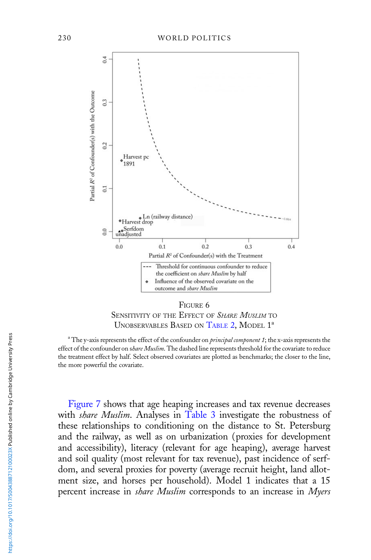<span id="page-25-0"></span>

FIGURE 6 SENSITIVITY OF THE EFFECT OF SHARE MUSLIM TO UNOBSERVABLES BASED ON [TABLE](#page-23-0) 2, MODEL 1<sup>a</sup>

<sup>a</sup> The y-axis represents the effect of the confounder on *principal component 1*; the x-axis represents the effect of the confounder on share Muslim. The dashed line represents threshold for the covariate to reduce the treatment effect by half. Select observed covariates are plotted as benchmarks; the closer to the line, the more powerful the covariate.

[Figure 7](#page-26-0) shows that age heaping increases and tax revenue decreases with *share Muslim*. Analyses in [Table 3](#page-26-0) investigate the robustness of these relationships to conditioning on the distance to St. Petersburg and the railway, as well as on urbanization (proxies for development and accessibility), literacy (relevant for age heaping), average harvest and soil quality (most relevant for tax revenue), past incidence of serfdom, and several proxies for poverty (average recruit height, land allotment size, and horses per household). Model 1 indicates that a 15 percent increase in *share Muslim* corresponds to an increase in Myers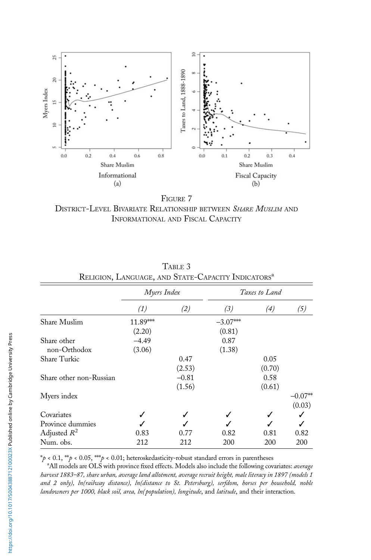<span id="page-26-0"></span>

FIGURE 7 DISTRICT-LEVEL BIVARIATE RELATIONSHIP BETWEEN SHARE MUSLIM AND INFORMATIONAL AND FISCAL CAPACITY

|                         | Myers Index |         | Taxes to Land |        |           |
|-------------------------|-------------|---------|---------------|--------|-----------|
|                         | (1)         | (2)     | (3)           | (4)    | (5)       |
| <b>Share Muslim</b>     | 11.89***    |         | $-3.07***$    |        |           |
|                         | (2.20)      |         | (0.81)        |        |           |
| Share other             | $-4.49$     |         | 0.87          |        |           |
| non-Orthodox            | (3.06)      |         | (1.38)        |        |           |
| Share Turkic            |             | 0.47    |               | 0.05   |           |
|                         |             | (2.53)  |               | (0.70) |           |
| Share other non-Russian |             | $-0.81$ |               | 0.58   |           |
|                         |             | (1.56)  |               | (0.61) |           |
| Myers index             |             |         |               |        | $-0.07**$ |
|                         |             |         |               |        | (0.03)    |
| Covariates              |             |         |               |        |           |
| Province dummies        |             |         |               |        |           |
| Adjusted $R^2$          | 0.83        | 0.77    | 0.82          | 0.81   | 0.82      |
| Num. obs.               | 212         | 212     | 200           | 200    | 200       |

| TABLE 3                                                        |
|----------------------------------------------------------------|
| RELIGION, LANGUAGE, AND STATE-CAPACITY INDICATORS <sup>a</sup> |

 $*\rho$  < 0.1,  $**\rho$  < 0.05,  $***\rho$  < 0.01; heteroskedasticity-robust standard errors in parentheses

<sup>a</sup>All models are OLS with province fixed effects. Models also include the following covariates: average harvest 1883–87, share urban, average land allotment, average recruit height, male literacy in 1897 (models 1 and 2 only), ln(railway distance), ln(distance to St. Petersburg), serfdom, horses per household, noble landowners per 1000, black soil, area, ln(population), longitude, and latitude, and their interaction.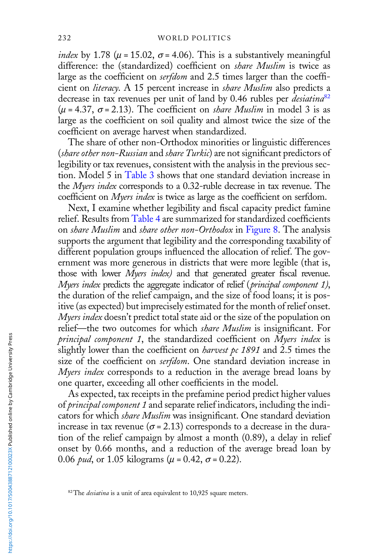*index* by 1.78 ( $\mu$  = 15.02,  $\sigma$  = 4.06). This is a substantively meaningful difference: the (standardized) coefficient on share Muslim is twice as large as the coefficient on *serfdom* and 2.5 times larger than the coefficient on literacy. A 15 percent increase in share Muslim also predicts a decrease in tax revenues per unit of land by 0.46 rubles per *desiatina*<sup>82</sup>  $(\mu = 4.37, \sigma = 2.13)$ . The coefficient on *share Muslim* in model 3 is as large as the coefficient on soil quality and almost twice the size of the coefficient on average harvest when standardized.

The share of other non-Orthodox minorities or linguistic differences (share other non-Russian and share Turkic) are not significant predictors of legibility or tax revenues, consistent with the analysis in the previous section. Model 5 in [Table 3](#page-26-0) shows that one standard deviation increase in the *Myers index* corresponds to a 0.32-ruble decrease in tax revenue. The coefficient on Myers index is twice as large as the coefficient on serfdom.

Next, I examine whether legibility and fiscal capacity predict famine relief. Results from [Table 4](#page-28-0) are summarized for standardized coefficients on *share Muslim* and *share other non-Orthodox* in [Figure 8.](#page-29-0) The analysis supports the argument that legibility and the corresponding taxability of different population groups influenced the allocation of relief. The government was more generous in districts that were more legible (that is, those with lower Myers index) and that generated greater fiscal revenue. Myers index predicts the aggregate indicator of relief (principal component 1), the duration of the relief campaign, and the size of food loans; it is positive (as expected) but imprecisely estimated for the month of relief onset. Myers index doesn't predict total state aid or the size of the population on relief—the two outcomes for which *share Muslim* is insignificant. For principal component 1, the standardized coefficient on Myers index is slightly lower than the coefficient on *harvest pc 1891* and 2.5 times the size of the coefficient on serfdom. One standard deviation increase in Myers index corresponds to a reduction in the average bread loans by one quarter, exceeding all other coefficients in the model.

As expected, tax receipts in the prefamine period predict higher values of principal component 1 and separate relief indicators, including the indicators for which *share Muslim* was insignificant. One standard deviation increase in tax revenue ( $\sigma$  = 2.13) corresponds to a decrease in the duration of the relief campaign by almost a month (0.89), a delay in relief onset by 0.66 months, and a reduction of the average bread loan by 0.06 *pud*, or 1.05 kilograms ( $\mu$  = 0.42,  $\sigma$  = 0.22).

 $82$ The *desiatina* is a unit of area equivalent to 10,925 square meters.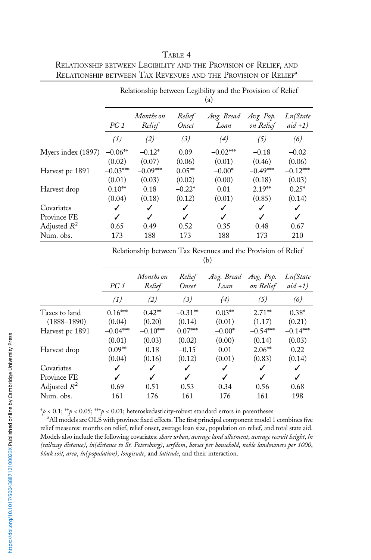|                    | Relationship between Legibility and the Provision of Relief<br>(a) |                     |                 |                    |                        |                       |
|--------------------|--------------------------------------------------------------------|---------------------|-----------------|--------------------|------------------------|-----------------------|
|                    | PC1                                                                | Months on<br>Relief | Relief<br>Onset | Avg. Bread<br>Loan | Avg. Pop.<br>on Relief | Ln(State<br>$aid +1)$ |
|                    | (1)                                                                | (2)                 | (3)             | (4)                | (5)                    | (6)                   |
| Myers index (1897) | $-0.06**$                                                          | $-0.12*$            | 0.09            | $-0.02***$         | $-0.18$                | $-0.02$               |
|                    | (0.02)                                                             | (0.07)              | (0.06)          | (0.01)             | (0.46)                 | (0.06)                |
| Harvest pc 1891    | $-0.03***$                                                         | $-0.09***$          | $0.05**$        | $-0.00*$           | $-0.49***$             | $-0.12***$            |
|                    | (0.01)                                                             | (0.03)              | (0.02)          | (0.00)             | (0.18)                 | (0.03)                |
| Harvest drop       | $0.10**$                                                           | 0.18                | $-0.22*$        | 0.01               | $2.19**$               | $0.25*$               |
|                    | (0.04)                                                             | (0.18)              | (0.12)          | (0.01)             | (0.85)                 | (0.14)                |
| Covariates         |                                                                    |                     | ✓               | ✓                  |                        |                       |
| Province FE        |                                                                    |                     | ℐ               | J                  |                        | J                     |
| Adjusted $R^2$     | 0.65                                                               | 0.49                | 0.52            | 0.35               | 0.48                   | 0.67                  |
| Num. obs.          | 173                                                                | 188                 | 173             | 188                | 173                    | 210                   |

<span id="page-28-0"></span>TABLE 4 RELATIONSHIP BETWEEN LEGIBILITY AND THE PROVISION OF RELIEF, AND RELATIONSHIP BETWEEN TAX REVENUES AND THE PROVISION OF RELIEF<sup>a</sup>

Relationship between Tax Revenues and the Provision of Relief  $(h)$ 

| $\sim$     |                     |                 |                    |                        |                       |
|------------|---------------------|-----------------|--------------------|------------------------|-----------------------|
| PC1        | Months on<br>Relief | Relief<br>Onset | Avg. Bread<br>Loan | Avg. Pop.<br>on Relief | Ln(State<br>$aid +1)$ |
| (1)        | (2)                 | (3)             | (4)                | (5)                    | (6)                   |
| $0.16***$  | $0.42**$            | $-0.31**$       | $0.03**$           | $2.71**$               | $0.38*$               |
| (0.04)     | (0.20)              | (0.14)          | (0.01)             | (1.17)                 | (0.21)                |
| $-0.04***$ | $-0.10***$          | $0.07***$       | $-0.00*$           | $-0.54***$             | $-0.14***$            |
| (0.01)     | (0.03)              | (0.02)          | (0.00)             | (0.14)                 | (0.03)                |
| $0.09**$   | 0.18                | $-0.15$         | 0.01               | $2.06**$               | 0.22                  |
| (0.04)     | (0.16)              | (0.12)          | (0.01)             | (0.83)                 | (0.14)                |
| ✓          | ✓                   | ✓               | ✓                  | √                      | ✓                     |
| ✓          | ✓                   | ✓               | ✓                  | J                      | ✓                     |
| 0.69       | 0.51                | 0.53            | 0.34               | 0.56                   | 0.68                  |
| 161        | 176                 | 161             | 176                | 161                    | 198                   |
|            |                     |                 |                    |                        |                       |

 $*p < 0.1; **p < 0.05; **p < 0.01;$  heteroskedasticity-robust standard errors in parentheses

<sup>a</sup>All models are OLS with province fixed effects. The first principal component model 1 combines five relief measures: months on relief, relief onset, average loan size, population on relief, and total state aid. Models also include the following covariates: share urban, average land allotment, average recruit height, In (railway distance), ln(distance to St. Petersburg), serfdom, horses per household, noble landowners per 1000, black soil, area, ln(population), longitude, and latitude, and their interaction.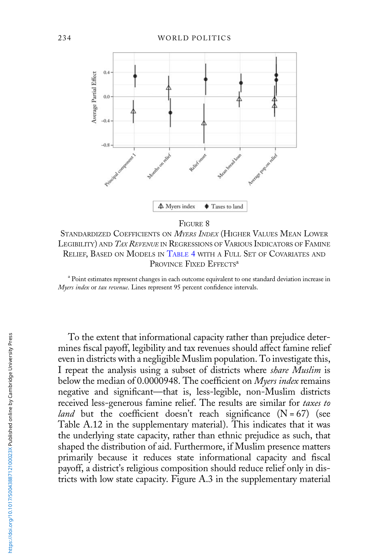<span id="page-29-0"></span>

FIGURE 8

STANDARDIZED COEFFICIENTS ON *MYERS INDEX* (HIGHER VALUES MEAN LOWER LEGIBILITY) AND *TAX REVENUE* IN REGRESSIONS OF VARIOUS INDICATORS OF FAMINE RELIEF, BASED ON MODELS IN [TABLE](#page-28-0) 4 WITH A FULL SET OF COVARIATES AND PROVINCE FIXED EFFECTS<sup>a</sup>

<sup>a</sup> Point estimates represent changes in each outcome equivalent to one standard deviation increase in Myers index or tax revenue. Lines represent 95 percent confidence intervals.

To the extent that informational capacity rather than prejudice determines fiscal payoff, legibility and tax revenues should affect famine relief even in districts with a negligible Muslim population. To investigate this, I repeat the analysis using a subset of districts where *share Muslim* is below the median of 0.0000948. The coefficient on Myers index remains negative and significant—that is, less-legible, non-Muslim districts received less-generous famine relief. The results are similar for taxes to *land* but the coefficient doesn't reach significance  $(N = 67)$  (see Table A.12 in the supplementary material). This indicates that it was the underlying state capacity, rather than ethnic prejudice as such, that shaped the distribution of aid. Furthermore, if Muslim presence matters primarily because it reduces state informational capacity and fiscal payoff, a district's religious composition should reduce relief only in districts with low state capacity. Figure A.3 in the supplementary material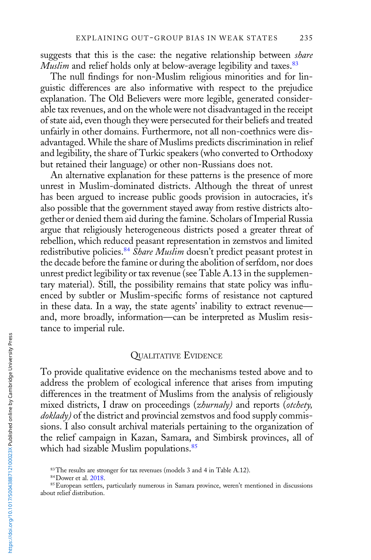suggests that this is the case: the negative relationship between share Muslim and relief holds only at below-average legibility and taxes.<sup>83</sup>

The null findings for non-Muslim religious minorities and for linguistic differences are also informative with respect to the prejudice explanation. The Old Believers were more legible, generated considerable tax revenues, and on the whole were not disadvantaged in the receipt of state aid, even though they were persecuted for their beliefs and treated unfairly in other domains. Furthermore, not all non-coethnics were disadvantaged. While the share of Muslims predicts discrimination in relief and legibility, the share of Turkic speakers (who converted to Orthodoxy but retained their language) or other non-Russians does not.

An alternative explanation for these patterns is the presence of more unrest in Muslim-dominated districts. Although the threat of unrest has been argued to increase public goods provision in autocracies, it's also possible that the government stayed away from restive districts altogether or denied them aid during the famine. Scholars of Imperial Russia argue that religiously heterogeneous districts posed a greater threat of rebellion, which reduced peasant representation in zemstvos and limited redistributive policies.<sup>84</sup> Share Muslim doesn't predict peasant protest in the decade before the famine or during the abolition of serfdom, nor does unrest predict legibility or tax revenue (see Table A.13 in the supplementary material). Still, the possibility remains that state policy was influenced by subtler or Muslim-specific forms of resistance not captured in these data. In a way, the state agents' inability to extract revenue and, more broadly, information—can be interpreted as Muslim resistance to imperial rule.

# QUALITATIVE EVIDENCE

To provide qualitative evidence on the mechanisms tested above and to address the problem of ecological inference that arises from imputing differences in the treatment of Muslims from the analysis of religiously mixed districts, I draw on proceedings (*zhurnaly*) and reports (*otchety*, doklady) of the district and provincial zemstvos and food supply commissions. I also consult archival materials pertaining to the organization of the relief campaign in Kazan, Samara, and Simbirsk provinces, all of which had sizable Muslim populations.<sup>85</sup>

<sup>&</sup>lt;sup>83</sup>The results are stronger for tax revenues (models 3 and 4 in Table A.12).

<sup>84</sup>Dower et al. [2018](#page-39-0).

<sup>85</sup>European settlers, particularly numerous in Samara province, weren't mentioned in discussions about relief distribution.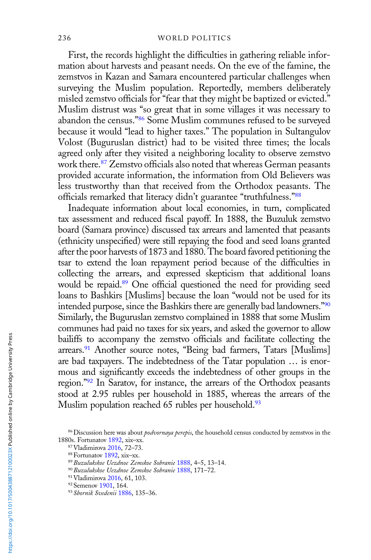First, the records highlight the difficulties in gathering reliable information about harvests and peasant needs. On the eve of the famine, the zemstvos in Kazan and Samara encountered particular challenges when surveying the Muslim population. Reportedly, members deliberately misled zemstvo officials for "fear that they might be baptized or evicted." Muslim distrust was "so great that in some villages it was necessary to abandon the census."<sup>86</sup> Some Muslim communes refused to be surveyed because it would "lead to higher taxes." The population in Sultangulov Volost (Buguruslan district) had to be visited three times; the locals agreed only after they visited a neighboring locality to observe zemstvo work there.<sup>87</sup> Zemstvo officials also noted that whereas German peasants provided accurate information, the information from Old Believers was less trustworthy than that received from the Orthodox peasants. The officials remarked that literacy didn't guarantee "truthfulness."<sup>88</sup>

Inadequate information about local economies, in turn, complicated tax assessment and reduced fiscal payoff. In 1888, the Buzuluk zemstvo board (Samara province) discussed tax arrears and lamented that peasants (ethnicity unspecified) were still repaying the food and seed loans granted after the poor harvests of 1873 and 1880. The board favored petitioning the tsar to extend the loan repayment period because of the difficulties in collecting the arrears, and expressed skepticism that additional loans would be repaid.<sup>89</sup> One official questioned the need for providing seed loans to Bashkirs [Muslims] because the loan "would not be used for its intended purpose, since the Bashkirs there are generally bad landowners."<sup>90</sup> Similarly, the Buguruslan zemstvo complained in 1888 that some Muslim communes had paid no taxes for six years, and asked the governor to allow bailiffs to accompany the zemstvo officials and facilitate collecting the arrears.<sup>91</sup> Another source notes, "Being bad farmers, Tatars [Muslims] are bad taxpayers. The indebtedness of the Tatar population … is enormous and significantly exceeds the indebtedness of other groups in the region."<sup>92</sup> In Saratov, for instance, the arrears of the Orthodox peasants stood at 2.95 rubles per household in 1885, whereas the arrears of the Muslim population reached 65 rubles per household.<sup>93</sup>

<sup>&</sup>lt;sup>86</sup> Discussion here was about *podvornaya perepis*, the household census conducted by zemstvos in the 1880s. Fortunatov [1892,](#page-39-0) xix–xx.

<sup>87</sup>Vladimirova [2016,](#page-42-0) 72–73.

<sup>88</sup>Fortunatov [1892](#page-39-0), xix–xx.

<sup>89</sup>Buzulukskoe Uezdnoe Zemskoe Sobranie [1888](#page-38-0), 4–5, 13–14.

<sup>90</sup>Buzulukskoe Uezdnoe Zemskoe Sobranie [1888](#page-38-0), 171–72.

<sup>91</sup>Vladimirova [2016,](#page-42-0) 61, 103.

<sup>92</sup> Semenov [1901](#page-41-0), 164.

<sup>93</sup> Sbornik Svedenii [1886,](#page-41-0) 135–36.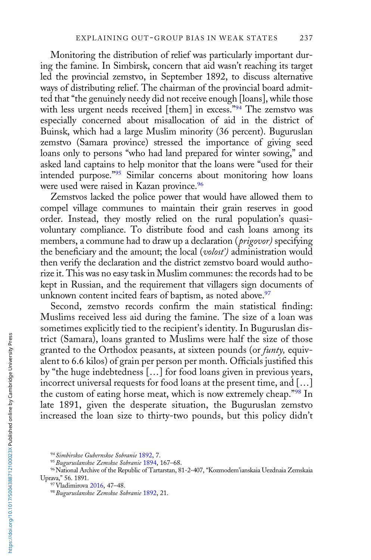Monitoring the distribution of relief was particularly important during the famine. In Simbirsk, concern that aid wasn't reaching its target led the provincial zemstvo, in September 1892, to discuss alternative ways of distributing relief. The chairman of the provincial board admitted that "the genuinely needy did not receive enough [loans], while those with less urgent needs received [them] in excess."94 The zemstvo was especially concerned about misallocation of aid in the district of Buinsk, which had a large Muslim minority (36 percent). Buguruslan zemstvo (Samara province) stressed the importance of giving seed loans only to persons "who had land prepared for winter sowing," and asked land captains to help monitor that the loans were "used for their intended purpose."<sup>95</sup> Similar concerns about monitoring how loans were used were raised in Kazan province.<sup>96</sup>

Zemstvos lacked the police power that would have allowed them to compel village communes to maintain their grain reserves in good order. Instead, they mostly relied on the rural population's quasivoluntary compliance. To distribute food and cash loans among its members, a commune had to draw up a declaration (*prigovor*) specifying the beneficiary and the amount; the local (volost') administration would then verify the declaration and the district zemstvo board would authorize it. This was no easy task in Muslim communes: the records had to be kept in Russian, and the requirement that villagers sign documents of unknown content incited fears of baptism, as noted above.<sup>97</sup>

Second, zemstvo records confirm the main statistical finding: Muslims received less aid during the famine. The size of a loan was sometimes explicitly tied to the recipient's identity. In Buguruslan district (Samara), loans granted to Muslims were half the size of those granted to the Orthodox peasants, at sixteen pounds (or *funty*, equivalent to 6.6 kilos) of grain per person per month. Officials justified this by "the huge indebtedness [...] for food loans given in previous years, incorrect universal requests for food loans at the present time, and […] the custom of eating horse meat, which is now extremely cheap."<sup>98</sup> In late 1891, given the desperate situation, the Buguruslan zemstvo increased the loan size to thirty-two pounds, but this policy didn't

<sup>94</sup> Simbirskoe Gubernskoe Sobranie [1892,](#page-41-0) 7.

<sup>95</sup> Buguruslanskoe Zemskoe Sobranie [1894](#page-38-0), 167-68.

<sup>96</sup>National Archive of the Republic of Tartarstan, 81-2-407, "Kozmodem'ianskaia Uezdnaia Zemskaia Uprava," 56. 1891.

<sup>97</sup>Vladimirova [2016,](#page-42-0) 47–48.

<sup>98</sup> Buguruslanskoe Zemskoe Sobranie [1892](#page-38-0), 21.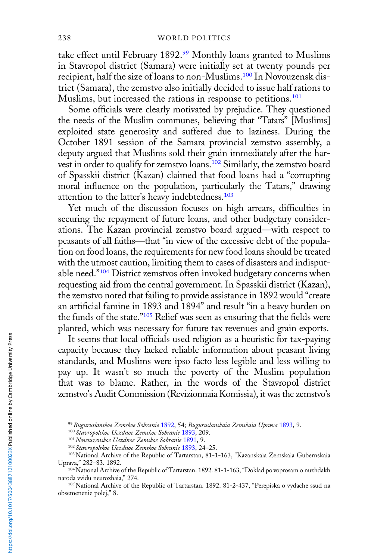take effect until February 1892.99 Monthly loans granted to Muslims in Stavropol district (Samara) were initially set at twenty pounds per recipient, half the size of loans to non-Muslims.100 In Novouzensk district (Samara), the zemstvo also initially decided to issue half rations to Muslims, but increased the rations in response to petitions.<sup>101</sup>

Some officials were clearly motivated by prejudice. They questioned the needs of the Muslim communes, believing that "Tatars" [Muslims] exploited state generosity and suffered due to laziness. During the October 1891 session of the Samara provincial zemstvo assembly, a deputy argued that Muslims sold their grain immediately after the harvest in order to qualify for zemstvo loans.<sup>102</sup> Similarly, the zemstvo board of Spasskii district (Kazan) claimed that food loans had a "corrupting moral influence on the population, particularly the Tatars," drawing attention to the latter's heavy indebtedness.<sup>103</sup>

Yet much of the discussion focuses on high arrears, difficulties in securing the repayment of future loans, and other budgetary considerations. The Kazan provincial zemstvo board argued—with respect to peasants of all faiths—that "in view of the excessive debt of the population on food loans, the requirements for new food loans should be treated with the utmost caution, limiting them to cases of disasters and indisputable need."<sup>104</sup> District zemstvos often invoked budgetary concerns when requesting aid from the central government. In Spasskii district (Kazan), the zemstvo noted that failing to provide assistance in 1892 would "create an artificial famine in 1893 and 1894" and result "in a heavy burden on the funds of the state."<sup>105</sup> Relief was seen as ensuring that the fields were planted, which was necessary for future tax revenues and grain exports.

It seems that local officials used religion as a heuristic for tax-paying capacity because they lacked reliable information about peasant living standards, and Muslims were ipso facto less legible and less willing to pay up. It wasn't so much the poverty of the Muslim population that was to blame. Rather, in the words of the Stavropol district zemstvo's Audit Commission (Revizionnaia Komissia), it was the zemstvo's

<sup>99</sup> Buguruslanskoe Zemskoe Sobranie [1892](#page-38-0), 54; Buguruslanskaia Zemskaia Uprava [1893](#page-38-0), 9.

<sup>100</sup> Stavropolskoe Uezdnoe Zemskoe Sobranie [1893](#page-42-0), 209.

<sup>&</sup>lt;sup>101</sup> Novouzenskoe Uezdnoe Zemskoe Sobranie [1891,](#page-41-0) 9.

<sup>102</sup> Stavropolskoe Uezdnoe Zemskoe Sobranie [1893](#page-42-0), 24–25.

<sup>103</sup> National Archive of the Republic of Tartarstan, 81-1-163, "Kazanskaia Zemskaia Gubernskaia Uprava," 282–83. 1892.

<sup>104</sup>National Archive of the Republic of Tartarstan. 1892. 81-1-163, "Doklad po voprosam o nuzhdakh naroda vvidu neurozhaia," 274.

<sup>105</sup>National Archive of the Republic of Tartarstan. 1892. 81-2-437, "Perepiska o vydache ssud na obsemenenie polej," 8.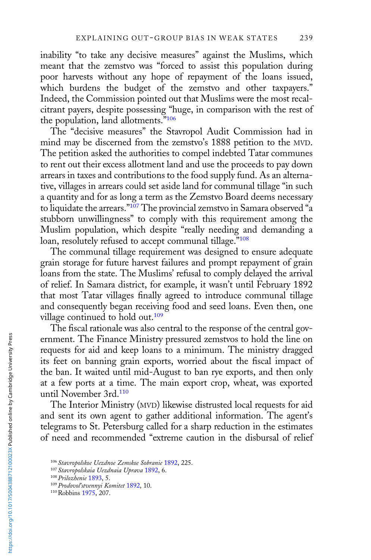inability "to take any decisive measures" against the Muslims, which meant that the zemstvo was "forced to assist this population during poor harvests without any hope of repayment of the loans issued, which burdens the budget of the zemstvo and other taxpayers." Indeed, the Commission pointed out that Muslims were the most recalcitrant payers, despite possessing "huge, in comparison with the rest of the population, land allotments."<sup>106</sup>

The "decisive measures" the Stavropol Audit Commission had in mind may be discerned from the zemstvo's 1888 petition to the MVD. The petition asked the authorities to compel indebted Tatar communes to rent out their excess allotment land and use the proceeds to pay down arrears in taxes and contributions to the food supply fund. As an alternative, villages in arrears could set aside land for communal tillage "in such a quantity and for as long a term as the Zemstvo Board deems necessary to liquidate the arrears."<sup>107</sup> The provincial zemstvo in Samara observed "a stubborn unwillingness" to comply with this requirement among the Muslim population, which despite "really needing and demanding a loan, resolutely refused to accept communal tillage."<sup>108</sup>

The communal tillage requirement was designed to ensure adequate grain storage for future harvest failures and prompt repayment of grain loans from the state. The Muslims' refusal to comply delayed the arrival of relief. In Samara district, for example, it wasn't until February 1892 that most Tatar villages finally agreed to introduce communal tillage and consequently began receiving food and seed loans. Even then, one village continued to hold out.<sup>109</sup>

The fiscal rationale was also central to the response of the central government. The Finance Ministry pressured zemstvos to hold the line on requests for aid and keep loans to a minimum. The ministry dragged its feet on banning grain exports, worried about the fiscal impact of the ban. It waited until mid-August to ban rye exports, and then only at a few ports at a time. The main export crop, wheat, was exported until November 3rd.110

The Interior Ministry (MVD) likewise distrusted local requests for aid and sent its own agent to gather additional information. The agent's telegrams to St. Petersburg called for a sharp reduction in the estimates of need and recommended "extreme caution in the disbursal of relief

<sup>&</sup>lt;sup>106</sup> Stavropolskoe Uezdnoe Zemskoe Sobranie [1892](#page-42-0), 225.

<sup>&</sup>lt;sup>107</sup> Stavropolskaia Uezdnaia Uprava [1892](#page-42-0), 6.

<sup>108</sup>Prilozhenie [1893](#page-41-0), 5.

<sup>&</sup>lt;sup>109</sup> Prodovoľ stvennyi Komitet [1892](#page-41-0), 10.

<sup>110</sup>Robbins [1975](#page-41-0), 207.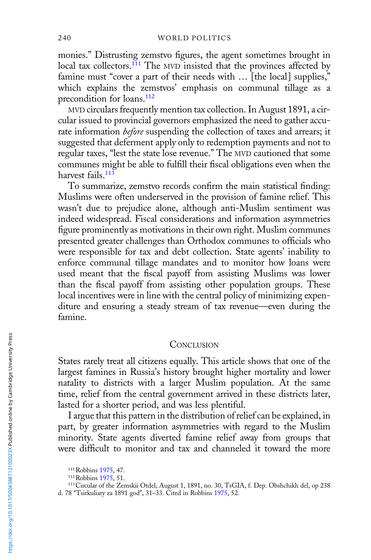monies." Distrusting zemstvo figures, the agent sometimes brought in local tax collectors.<sup>111</sup> The MVD insisted that the provinces affected by famine must "cover a part of their needs with ... [the local] supplies," which explains the zemstvos' emphasis on communal tillage as a precondition for loans.<sup>112</sup>

MVD circulars frequently mention tax collection. In August 1891, a circular issued to provincial governors emphasized the need to gather accurate information before suspending the collection of taxes and arrears; it suggested that deferment apply only to redemption payments and not to regular taxes, "lest the state lose revenue." The MVD cautioned that some communes might be able to fulfill their fiscal obligations even when the harvest fails.<sup>113</sup>

To summarize, zemstvo records confirm the main statistical finding: Muslims were often underserved in the provision of famine relief. This wasn't due to prejudice alone, although anti-Muslim sentiment was indeed widespread. Fiscal considerations and information asymmetries figure prominently as motivations in their own right. Muslim communes presented greater challenges than Orthodox communes to officials who were responsible for tax and debt collection. State agents' inability to enforce communal tillage mandates and to monitor how loans were used meant that the fiscal payoff from assisting Muslims was lower than the fiscal payoff from assisting other population groups. These local incentives were in line with the central policy of minimizing expenditure and ensuring a steady stream of tax revenue—even during the famine.

#### **CONCLUSION**

States rarely treat all citizens equally. This article shows that one of the largest famines in Russia's history brought higher mortality and lower natality to districts with a larger Muslim population. At the same time, relief from the central government arrived in these districts later, lasted for a shorter period, and was less plentiful.

I argue that this pattern in the distribution of relief can be explained, in part, by greater information asymmetries with regard to the Muslim minority. State agents diverted famine relief away from groups that were difficult to monitor and tax and channeled it toward the more

<sup>111</sup> Robbins [1975](#page-41-0), 47.

<sup>112</sup> Robbins [1975](#page-41-0), 51.

<sup>113</sup>Circular of the Zemskii Otdel, August 1, 1891, no. 30, TsGIA, f. Dep. Obshchikh del, op 238 d. 78 "Tsirkuliary za 1891 god", 31–33. Cited in Robbins [1975,](#page-41-0) 52.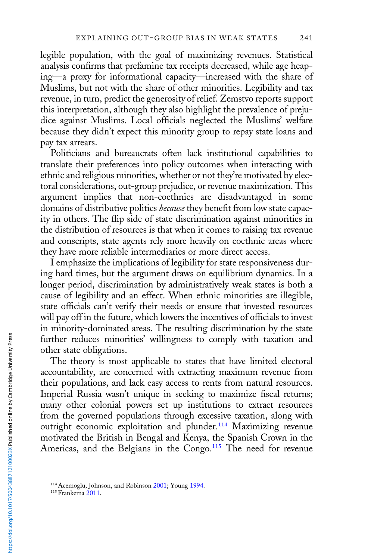legible population, with the goal of maximizing revenues. Statistical analysis confirms that prefamine tax receipts decreased, while age heaping—a proxy for informational capacity—increased with the share of Muslims, but not with the share of other minorities. Legibility and tax revenue, in turn, predict the generosity of relief. Zemstvo reports support this interpretation, although they also highlight the prevalence of prejudice against Muslims. Local officials neglected the Muslims' welfare because they didn't expect this minority group to repay state loans and pay tax arrears.

Politicians and bureaucrats often lack institutional capabilities to translate their preferences into policy outcomes when interacting with ethnic and religious minorities, whether or not they're motivated by electoral considerations, out-group prejudice, or revenue maximization. This argument implies that non-coethnics are disadvantaged in some domains of distributive politics because they benefit from low state capacity in others. The flip side of state discrimination against minorities in the distribution of resources is that when it comes to raising tax revenue and conscripts, state agents rely more heavily on coethnic areas where they have more reliable intermediaries or more direct access.

I emphasize the implications of legibility for state responsiveness during hard times, but the argument draws on equilibrium dynamics. In a longer period, discrimination by administratively weak states is both a cause of legibility and an effect. When ethnic minorities are illegible, state officials can't verify their needs or ensure that invested resources will pay off in the future, which lowers the incentives of officials to invest in minority-dominated areas. The resulting discrimination by the state further reduces minorities' willingness to comply with taxation and other state obligations.

The theory is most applicable to states that have limited electoral accountability, are concerned with extracting maximum revenue from their populations, and lack easy access to rents from natural resources. Imperial Russia wasn't unique in seeking to maximize fiscal returns; many other colonial powers set up institutions to extract resources from the governed populations through excessive taxation, along with outright economic exploitation and plunder.<sup>114</sup> Maximizing revenue motivated the British in Bengal and Kenya, the Spanish Crown in the Americas, and the Belgians in the Congo.<sup>115</sup> The need for revenue

<sup>114</sup>Acemoglu, Johnson, and Robinson [2001](#page-37-0); Young [1994.](#page-42-0)

<sup>&</sup>lt;sup>115</sup> Frankema [2011.](#page-39-0)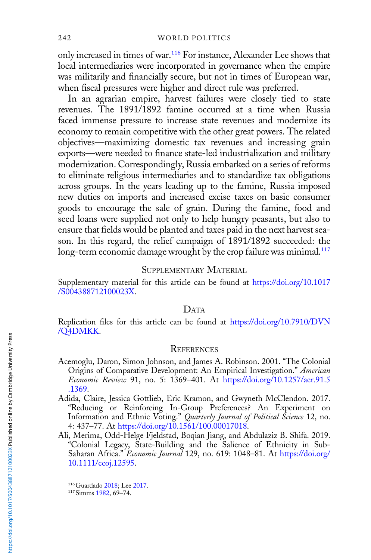<span id="page-37-0"></span>only increased in times of war.<sup>116</sup> For instance, Alexander Lee shows that local intermediaries were incorporated in governance when the empire was militarily and financially secure, but not in times of European war, when fiscal pressures were higher and direct rule was preferred.

In an agrarian empire, harvest failures were closely tied to state revenues. The 1891/1892 famine occurred at a time when Russia faced immense pressure to increase state revenues and modernize its economy to remain competitive with the other great powers. The related objectives—maximizing domestic tax revenues and increasing grain exports—were needed to finance state-led industrialization and military modernization. Correspondingly, Russia embarked on a series of reforms to eliminate religious intermediaries and to standardize tax obligations across groups. In the years leading up to the famine, Russia imposed new duties on imports and increased excise taxes on basic consumer goods to encourage the sale of grain. During the famine, food and seed loans were supplied not only to help hungry peasants, but also to ensure that fields would be planted and taxes paid in the next harvest season. In this regard, the relief campaign of 1891/1892 succeeded: the long-term economic damage wrought by the crop failure was minimal.<sup>117</sup>

## SUPPLEMENTARY MATERIAL

Supplementary material for this article can be found at [https://doi.org/10.1017](https://doi.org/10.1017/S004388712100023X) [/S004388712100023X.](https://doi.org/10.1017/S004388712100023X)

#### DATA

Replication files for this article can be found at [https://doi.org/10.7910/DVN](https://doi.org/10.7910/DVN/Q4DMKK) [/Q4DMKK.](https://doi.org/10.7910/DVN/Q4DMKK)

#### **REFERENCES**

- Acemoglu, Daron, Simon Johnson, and James A. Robinson. 2001. "The Colonial Origins of Comparative Development: An Empirical Investigation." American Economic Review 91, no. 5: 1369–401. At [https://doi.org/10.1257/aer.91.5](https://doi.org/10.1257/aer.91.5.1369) [.1369.](https://doi.org/10.1257/aer.91.5.1369)
- Adida, Claire, Jessica Gottlieb, Eric Kramon, and Gwyneth McClendon. 2017. "Reducing or Reinforcing In-Group Preferences? An Experiment on Information and Ethnic Voting." Quarterly Journal of Political Science 12, no. 4: 437–77. At [https://doi.org/10.1561/100.00017018.](https://doi.org/10.1561/100.00017018)
- Ali, Merima, Odd-Helge Fjeldstad, Boqian Jiang, and Abdulaziz B. Shifa. 2019. "Colonial Legacy, State-Building and the Salience of Ethnicity in SubSaharan Africa." Economic Journal 129, no. 619: 1048-81. At [https://doi.org/](https://doi.org/10.1111/ecoj.12595) [10.1111/ecoj.12595](https://doi.org/10.1111/ecoj.12595).

<sup>116</sup>Guardado [2018](#page-39-0); Lee [2017](#page-40-0).

<sup>117</sup>Simms [1982](#page-42-0), 69–74.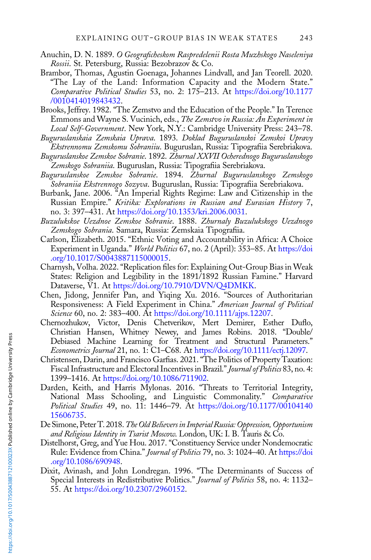- <span id="page-38-0"></span>Anuchin, D. N. 1889. O Geograficheskom Raspredelenii Rosta Muzhskogo Naseleniya Rossii. St. Petersburg, Russia: Bezobrazov & Co.
- Brambor, Thomas, Agustin Goenaga, Johannes Lindvall, and Jan Teorell. 2020. "The Lay of the Land: Information Capacity and the Modern State." Comparative Political Studies 53, no. 2: 175–213. At [https://doi.org/10.1177](https://doi.org/10.1177/0010414019843432) [/0010414019843432.](https://doi.org/10.1177/0010414019843432)
- Brooks, Jeffrey. 1982. "The Zemstvo and the Education of the People." In Terence Emmons and Wayne S. Vucinich, eds., The Zemstvo in Russia: An Experiment in Local Self-Government. New York, N.Y.: Cambridge University Press: 243–78.
- Buguruslanskaia Zemskaia Uprava. 1893. Doklad Buguruslanskoi Zemskoi Upravy Ekstrennomu Zemskomu Sobraniiu. Buguruslan, Russia: Tipografiia Serebriakova.
- Buguruslanskoe Zemskoe Sobranie. 1892. Zhurnal XXVII Ocherednogo Buguruslanskogo Zemskogo Sobraniia. Buguruslan, Russia: Tipografiia Serebriakova.
- Buguruslanskoe Zemskoe Sobranie. 1894. Zhurnal Buguruslanskogo Zemskogo Sobraniia Ekstrennogo Sozyva. Buguruslan, Russia: Tipografiia Serebriakova.
- Burbank, Jane. 2006. "An Imperial Rights Regime: Law and Citizenship in the Russian Empire." Kritika: Explorations in Russian and Eurasian History 7, no. 3: 397–431. At [https://doi.org/10.1353/kri.2006.0031.](https://doi.org/10.1353/kri.2006.0031)
- Buzulukskoe Uezdnoe Zemskoe Sobranie. 1888. Zhurnaly Buzulukskogo Uezdnogo Zemskogo Sobrania. Samara, Russia: Zemskaia Tipografiia.
- Carlson, Elizabeth. 2015. "Ethnic Voting and Accountability in Africa: A Choice Experiment in Uganda." World Politics 67, no. 2 (April): 353–85. At [https://doi](https://doi.org/10.1017/S0043887115000015) [.org/10.1017/S0043887115000015](https://doi.org/10.1017/S0043887115000015).
- Charnysh, Volha. 2022. "Replication files for: Explaining Out-Group Bias in Weak States: Religion and Legibility in the 1891/1892 Russian Famine." Harvard Dataverse, V1. At <https://doi.org/10.7910/DVN/Q4DMKK>.
- Chen, Jidong, Jennifer Pan, and Yiqing Xu. 2016. "Sources of Authoritarian Responsiveness: A Field Experiment in China." American Journal of Political Science 60, no. 2: 383-400. At <https://doi.org/10.1111/ajps.12207>.
- Chernozhukov, Victor, Denis Chetverikov, Mert Demirer, Esther Duflo, Christian Hansen, Whitney Newey, and James Robins. 2018. "Double/ Debiased Machine Learning for Treatment and Structural Parameters." Econometrics Journal 21, no. 1: C1–C68. At [https://doi.org/10.1111/ectj.12097.](https://doi.org/10.1111/ectj.12097)
- Christensen, Darin, and Francisco Garfias. 2021. "The Politics of Property Taxation: Fiscal Infrastructure and Electoral Incentives in Brazil." Journal of Politics 83, no. 4: 1399–1416. At [https://doi.org/10.1086/711902.](https://doi.org/10.1086/711902)
- Darden, Keith, and Harris Mylonas. 2016. "Threats to Territorial Integrity, National Mass Schooling, and Linguistic Commonality." Comparative Political Studies 49, no. 11: 1446-79. At [https://doi.org/10.1177/00104140](https://doi.org/10.1177/0010414015606735) [15606735](https://doi.org/10.1177/0010414015606735).
- De Simone, Peter T. 2018. The Old Believers in Imperial Russia: Oppression, Opportunism and Religious Identity in Tsarist Moscow. London, UK: I. B. Tauris & Co.
- Distelhorst, Greg, and Yue Hou. 2017. "Constituency Service under Nondemocratic Rule: Evidence from China." Journal of Politics 79, no. 3: 1024-40. At [https://doi](https://doi.org/10.1086/690948) [.org/10.1086/690948](https://doi.org/10.1086/690948).
- Dixit, Avinash, and John Londregan. 1996. "The Determinants of Success of Special Interests in Redistributive Politics." Journal of Politics 58, no. 4: 1132-55. At [https://doi.org/10.2307/2960152.](https://doi.org/10.2307/2960152)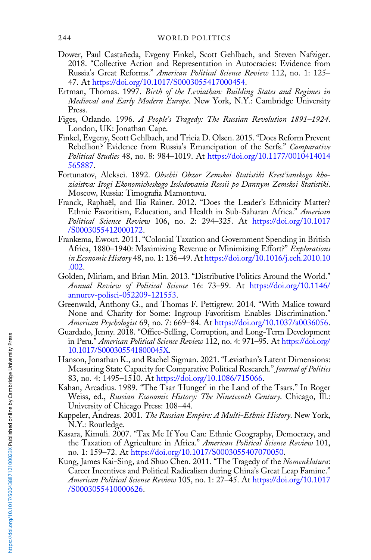- Dower, Paul Castañeda, Evgeny Finkel, Scott Gehlbach, and Steven Nafziger. 2018. "Collective Action and Representation in Autocracies: Evidence from Russia's Great Reforms." American Political Science Review 112, no. 1: 125– 47. At <https://doi.org/10.1017/S0003055417000454>.
- Ertman, Thomas. 1997. Birth of the Leviathan: Building States and Regimes in Medieval and Early Modern Europe. New York, N.Y.: Cambridge University Press.
- Figes, Orlando. 1996. A People's Tragedy: The Russian Revolution 1891–1924. London, UK: Jonathan Cape.
- Finkel, Evgeny, Scott Gehlbach, and Tricia D. Olsen. 2015. "Does Reform Prevent Rebellion? Evidence from Russia's Emancipation of the Serfs." Comparative Political Studies 48, no. 8: 984–1019. At [https://doi.org/10.1177/0010414014](https://doi.org/10.1177/0010414014565887) [565887](https://doi.org/10.1177/0010414014565887).
- Fortunatov, Aleksei. 1892. Obschii Obzor Zemskoi Statistiki Krest'ianskogo khoziaistva: Itogi Ekonomicheskogo Issledovania Rossii po Dannym Zemskoi Statistiki. Moscow, Russia: Timografia Mamontova.
- Franck, Raphaël, and Ilia Rainer. 2012. "Does the Leader's Ethnicity Matter? Ethnic Favoritism, Education, and Health in Sub-Saharan Africa." American Political Science Review 106, no. 2: 294–325. At [https://doi.org/10.1017](https://doi.org/10.1017/S0003055412000172) [/S0003055412000172.](https://doi.org/10.1017/S0003055412000172)
- Frankema, Ewout. 2011. "Colonial Taxation and Government Spending in British Africa, 1880–1940: Maximizing Revenue or Minimizing Effort?" Explorations in Economic History 48, no. 1: 136–49. At [https://doi.org/10.1016/j.eeh.2010.10](https://doi.org/10.1016/j.eeh.2010.10.002) [.002.](https://doi.org/10.1016/j.eeh.2010.10.002)
- Golden, Miriam, and Brian Min. 2013. "Distributive Politics Around the World." Annual Review of Political Science 16: 73–99. At [https://doi.org/10.1146/](https://doi.org/10.1146/annurev-polisci-052209-121553) [annurev-polisci-052209-121553.](https://doi.org/10.1146/annurev-polisci-052209-121553)
- Greenwald, Anthony G., and Thomas F. Pettigrew. 2014. "With Malice toward None and Charity for Some: Ingroup Favoritism Enables Discrimination." American Psychologist 69, no. 7: 669–84. At [https://doi.org/10.1037/a0036056.](https://doi.org/10.1037/a0036056)
- Guardado, Jenny. 2018. "Office-Selling, Corruption, and Long-Term Development in Peru." American Political Science Review 112, no. 4: 971–95. At [https://doi.org/](https://doi.org/10.1017/S000305541800045X) [10.1017/S000305541800045X.](https://doi.org/10.1017/S000305541800045X)
- Hanson, Jonathan K., and Rachel Sigman. 2021. "Leviathan's Latent Dimensions: Measuring State Capacity for Comparative Political Research." Journal of Politics 83, no. 4: 1495–1510. At <https://doi.org/10.1086/715066>.
- Kahan, Arcadius. 1989. "The Tsar 'Hunger' in the Land of the Tsars." In Roger Weiss, ed., Russian Economic History: The Nineteenth Century. Chicago, Ill.: University of Chicago Press: 108–44.
- Kappeler, Andreas. 2001. The Russian Empire: A Multi-Ethnic History. New York, N.Y.: Routledge.
- Kasara, Kimuli. 2007. "Tax Me If You Can: Ethnic Geography, Democracy, and the Taxation of Agriculture in Africa." American Political Science Review 101, no. 1: 159–72. At <https://doi.org/10.1017/S0003055407070050>.
- Kung, James Kai-Sing, and Shuo Chen. 2011. "The Tragedy of the Nomenklatura: Career Incentives and Political Radicalism during China's Great Leap Famine." American Political Science Review 105, no. 1: 27–45. At [https://doi.org/10.1017](https://doi.org/10.1017/S0003055410000626) [/S0003055410000626.](https://doi.org/10.1017/S0003055410000626)

<span id="page-39-0"></span>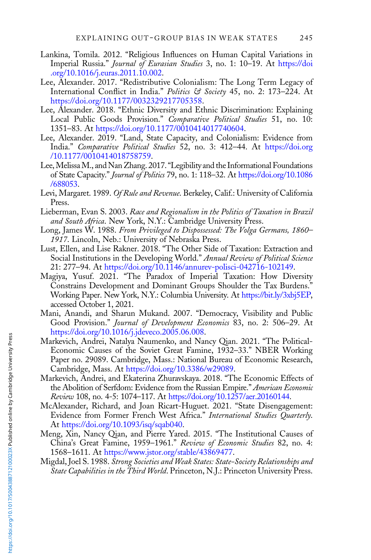- <span id="page-40-0"></span>Lankina, Tomila. 2012. "Religious Influences on Human Capital Variations in Imperial Russia." Journal of Eurasian Studies 3, no. 1: 10–19. At [https://doi](https://doi.org/10.1016/j.euras.2011.10.002) [.org/10.1016/j.euras.2011.10.002](https://doi.org/10.1016/j.euras.2011.10.002).
- Lee, Alexander. 2017. "Redistributive Colonialism: The Long Term Legacy of International Conflict in India." Politics & Society 45, no. 2: 173-224. At <https://doi.org/10.1177/0032329217705358>.
- Lee, Alexander. 2018. "Ethnic Diversity and Ethnic Discrimination: Explaining Local Public Goods Provision." Comparative Political Studies 51, no. 10: 1351–83. At <https://doi.org/10.1177/0010414017740604>.
- Lee, Alexander. 2019. "Land, State Capacity, and Colonialism: Evidence from India." Comparative Political Studies 52, no. 3: 412–44. At [https://doi.org](https://doi.org/10.1177/0010414018758759) [/10.1177/0010414018758759](https://doi.org/10.1177/0010414018758759).
- Lee,MelissaM., and Nan Zhang. 2017."Legibility and the Informational Foundations of State Capacity." Journal of Politics 79, no. 1: 118–32. At [https://doi.org/10.1086](https://doi.org/10.1086/688053) [/688053](https://doi.org/10.1086/688053).
- Levi, Margaret. 1989. Of Rule and Revenue. Berkeley, Calif.: University of California Press.
- Lieberman, Evan S. 2003. Race and Regionalism in the Politics of Taxation in Brazil and South Africa. New York, N.Y.: Cambridge University Press.
- Long, James W. 1988. From Privileged to Dispossessed: The Volga Germans, 1860– 1917. Lincoln, Neb.: University of Nebraska Press.
- Lust, Ellen, and Lise Rakner. 2018. "The Other Side of Taxation: Extraction and Social Institutions in the Developing World." Annual Review of Political Science 21: 277–94. At [https://doi.org/10.1146/annurev-polisci-042716-102149.](https://doi.org/10.1146/annurev-polisci-042716-102149)
- Magiya, Yusuf. 2021. "The Paradox of Imperial Taxation: How Diversity Constrains Development and Dominant Groups Shoulder the Tax Burdens." Working Paper. New York, N.Y.: Columbia University. At [https://bit.ly/3xbj5EP,](https://bit.ly/3xbj5EP) accessed October 1, 2021.
- Mani, Anandi, and Sharun Mukand. 2007. "Democracy, Visibility and Public Good Provision." Journal of Development Economics 83, no. 2: 506–29. At [https://doi.org/10.1016/j.jdeveco.2005.06.008.](https://doi.org/10.1016/j.jdeveco.2005.06.008)
- Markevich, Andrei, Natalya Naumenko, and Nancy Qian. 2021. "The Political-Economic Causes of the Soviet Great Famine, 1932–33." NBER Working Paper no. 29089. Cambridge, Mass.: National Bureau of Economic Research, Cambridge, Mass. At [https://doi.org/10.3386/w29089.](https://doi.org/10.3386/w29089)
- Markevich, Andrei, and Ekaterina Zhuravskaya. 2018. "The Economic Effects of the Abolition of Serfdom: Evidence from the Russian Empire." American Economic Review 108, no. 4-5: 1074–117. At <https://doi.org/10.1257/aer.20160144>.
- McAlexander, Richard, and Joan Ricart-Huguet. 2021. "State Disengagement: Evidence from Former French West Africa." International Studies Quarterly. At [https://doi.org/10.1093/isq/sqab040.](https://doi.org/10.1093/isq/sqab040)
- Meng, Xin, Nancy Qian, and Pierre Yared. 2015. "The Institutional Causes of China's Great Famine, 1959–1961." Review of Economic Studies 82, no. 4: 1568–1611. At [https://www.jstor.org/stable/43869477.](https://www.jstor.org/stable/43869477)
- Migdal, Joel S. 1988. Strong Societies and Weak States: State-Society Relationships and State Capabilities in the Third World. Princeton, N.J.: Princeton University Press.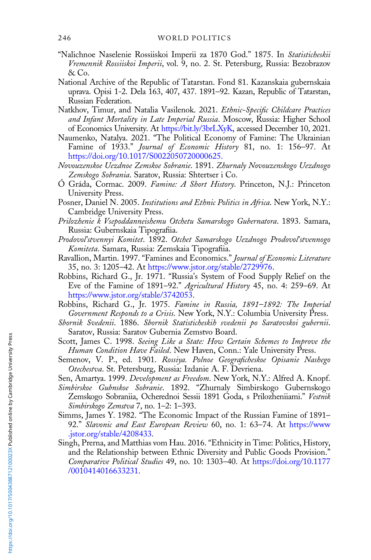- <span id="page-41-0"></span>"Nalichnoe Naselenie Rossiiskoi Imperii za 1870 God." 1875. In Statisticheskii Vremennik Rossiiskoi Imperii, vol. 9, no. 2. St. Petersburg, Russia: Bezobrazov & Co.
- National Archive of the Republic of Tatarstan. Fond 81. Kazanskaia gubernskaia uprava. Opisi 1-2. Dela 163, 407, 437. 1891–92. Kazan, Republic of Tatarstan, Russian Federation.
- Natkhov, Timur, and Natalia Vasilenok. 2021. Ethnic-Specific Childcare Practices and Infant Mortality in Late Imperial Russia. Moscow, Russia: Higher School of Economics University. At <https://bit.ly/3brLXyK>, accessed December 10, 2021.
- Naumenko, Natalya. 2021. "The Political Economy of Famine: The Ukrainian Famine of 1933." Journal of Economic History 81, no. 1: 156–97. At <https://doi.org/10.1017/S0022050720000625.>
- Novouzenskoe Uezdnoe Zemskoe Sobranie. 1891. Zhurnaly Novouzenskogo Uezdnogo Zemskogo Sobrania. Saratov, Russia: Shtertser i Co.
- Ó Gráda, Cormac. 2009. Famine: A Short History. Princeton, N.J.: Princeton University Press.
- Posner, Daniel N. 2005. Institutions and Ethnic Politics in Africa. New York, N.Y.: Cambridge University Press.
- Prilozhenie k Vsepoddanneishemu Otchetu Samarskogo Gubernatora. 1893. Samara, Russia: Gubernskaia Tipografiia.
- Prodovol'stvennyi Komitet. 1892. Otchet Samarskogo Uezdnogo Prodovol'stvennogo Komiteta. Samara, Russia: Zemskaia Tipografiia.
- Ravallion, Martin. 1997. "Famines and Economics." Journal of Economic Literature 35, no. 3: 1205–42. At [https://www.jstor.org/stable/2729976.](https://www.jstor.org/stable/2729976)
- Robbins, Richard G., Jr. 1971. "Russia's System of Food Supply Relief on the Eve of the Famine of 1891–92." Agricultural History 45, no. 4: 259–69. At <https://www.jstor.org/stable/3742053>.
- Robbins, Richard G., Jr. 1975. Famine in Russia, 1891–1892: The Imperial Government Responds to a Crisis. New York, N.Y.: Columbia University Press.
- Sbornik Svedenii. 1886. Sbornik Statisticheskih svedenii po Saratovskoi gubernii. Saratov, Russia: Saratov Gubernia Zemstvo Board.
- Scott, James C. 1998. Seeing Like a State: How Certain Schemes to Improve the Human Condition Have Failed. New Haven, Conn.: Yale University Press.
- Semenov, V. P., ed. 1901. Rossiya. Polnoe Geograficheskoe Opisanie Nashego Otechestva. St. Petersburg, Russia: Izdanie A. F. Devriena.

Sen, Amartya. 1999. Development as Freedom. New York, N.Y.: Alfred A. Knopf.

- Simbirskoe Gubnskoe Sobranie. 1892. "Zhurnaly Simbirskogo Gubernskogo Zemskogo Sobraniia, Ocherednoi Sessii 1891 Goda, s Prilozheniiami." Vestnik Simbirskogo Zemstva 7, no. 1–2: 1–393.
- Simms, James Y. 1982. "The Economic Impact of the Russian Famine of 1891– 92." Slavonic and East European Review 60, no. 1: 63-74. At [https://www](https://www.jstor.org/stable/4208433) [.jstor.org/stable/4208433](https://www.jstor.org/stable/4208433).
- Singh, Prerna, and Matthias vom Hau. 2016. "Ethnicity in Time: Politics, History, and the Relationship between Ethnic Diversity and Public Goods Provision." Comparative Political Studies 49, no. 10: 1303–40. At [https://doi.org/10.1177](https://doi.org/10.1177/0010414016633231) [/0010414016633231.](https://doi.org/10.1177/0010414016633231)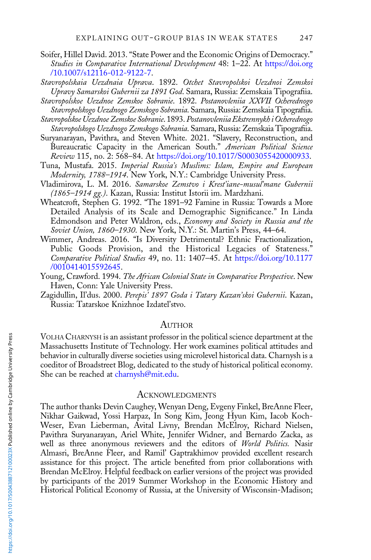- <span id="page-42-0"></span>Soifer, Hillel David. 2013. "State Power and the Economic Origins of Democracy." Studies in Comparative International Development 48: 1-22. At [https://doi.org](https://doi.org/10.1007/s12116-012-9122-7) [/10.1007/s12116-012-9122-7.](https://doi.org/10.1007/s12116-012-9122-7)
- Stavropolskaia Uezdnaia Uprava. 1892. Otchet Stavropolskoi Uezdnoi Zemskoi Upravy Samarskoi Gubernii za 1891 God. Samara, Russia: Zemskaia Tipografiia.
- Stavropolskoe Uezdnoe Zemskoe Sobranie. 1892. Postanovleniia XXVII Ocherednogo Stavropolskogo Uezdnogo Zemskogo Sobrania. Samara, Russia: Zemskaia Tipografiia.
- Stavropolskoe Uezdnoe Zemskoe Sobranie. 1893.Postanovleniia Ekstrennykh i Ocherednogo Stavropolskogo Uezdnogo Zemskogo Sobrania. Samara, Russia: Zemskaia Tipografiia.
- Suryanarayan, Pavithra, and Steven White. 2021. "Slavery, Reconstruction, and Bureaucratic Capacity in the American South." American Political Science Review 115, no. 2: 568–84. At <https://doi.org/10.1017/S0003055420000933>.
- Tuna, Mustafa. 2015. Imperial Russia's Muslims: Islam, Empire and European Modernity, 1788-1914. New York, N.Y.: Cambridge University Press.
- Vladimirova, L. M. 2016. Samarskoe Zemstvo i Krest'iane-musul'mane Gubernii (1865–1914 gg.). Kazan, Russia: Institut Istorii im. Mardzhani.
- Wheatcroft, Stephen G. 1992. "The 1891–92 Famine in Russia: Towards a More Detailed Analysis of its Scale and Demographic Significance." In Linda Edmondson and Peter Waldron, eds., Economy and Society in Russia and the Soviet Union, 1860–1930. New York, N.Y.: St. Martin's Press, 44–64.
- Wimmer, Andreas. 2016. "Is Diversity Detrimental? Ethnic Fractionalization, Public Goods Provision, and the Historical Legacies of Stateness." Comparative Political Studies 49, no. 11: 1407–45. At [https://doi.org/10.1177](https://doi.org/10.1177/0010414015592645) [/0010414015592645.](https://doi.org/10.1177/0010414015592645)
- Young, Crawford. 1994. The African Colonial State in Comparative Perspective. New Haven, Conn: Yale University Press.
- Zagidullin, Il'dus. 2000. Perepis<sup>5</sup> 1897 Goda i Tatary Kazan'skoi Gubernii. Kazan, Russia: Tatarskoe Knizhnoe Izdatel'stvo.

#### AUTHOR

VOLHA CHARNYSH is an assistant professor in the political science department at the Massachusetts Institute of Technology. Her work examines political attitudes and behavior in culturally diverse societies using microlevel historical data. Charnysh is a coeditor of Broadstreet Blog, dedicated to the study of historical political economy. She can be reached at [charnysh@mit.edu](mailto:charnysh@mit.edu).

#### ACKNOWLEDGMENTS

The author thanks Devin Caughey, Wenyan Deng, Evgeny Finkel, BreAnne Fleer, Nikhar Gaikwad, Yossi Harpaz, In Song Kim, Jeong Hyun Kim, Iacob Koch-Weser, Evan Lieberman, Avital Livny, Brendan McElroy, Richard Nielsen, Pavithra Suryanarayan, Ariel White, Jennifer Widner, and Bernardo Zacka, as well as three anonymous reviewers and the editors of World Politics. Nasir Almasri, BreAnne Fleer, and Ramil' Gaptrakhimov provided excellent research assistance for this project. The article benefited from prior collaborations with Brendan McElroy. Helpful feedback on earlier versions of the project was provided by participants of the 2019 Summer Workshop in the Economic History and Historical Political Economy of Russia, at the University of Wisconsin-Madison;